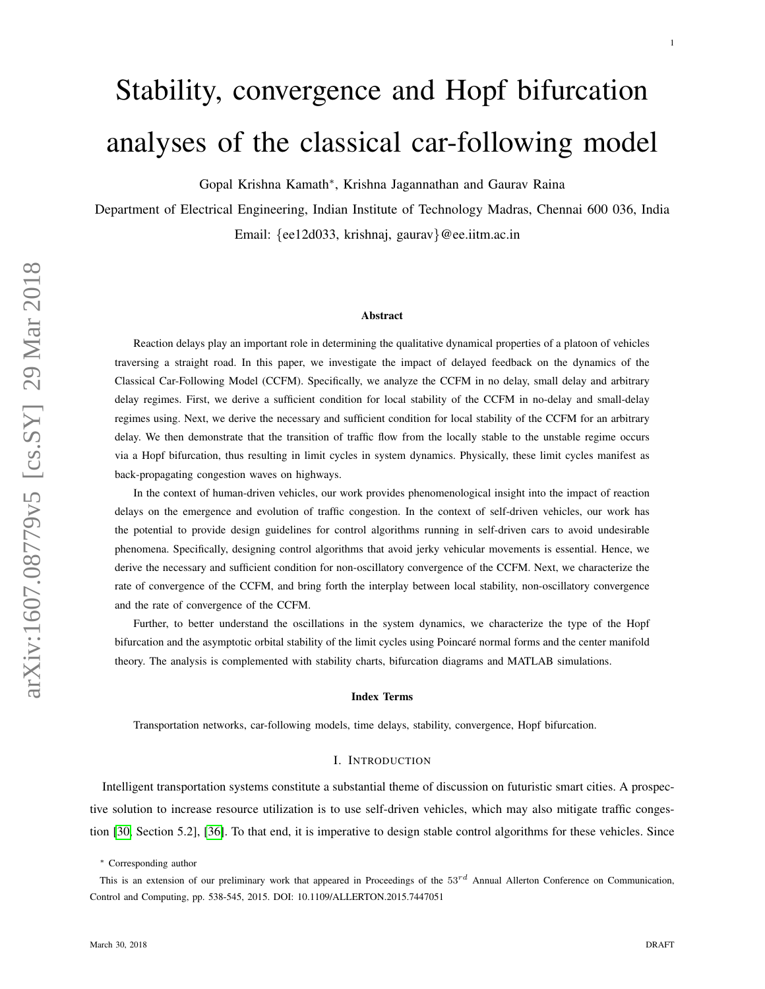# Stability, convergence and Hopf bifurcation analyses of the classical car-following model

Gopal Krishna Kamath<sup>∗</sup> , Krishna Jagannathan and Gaurav Raina

Department of Electrical Engineering, Indian Institute of Technology Madras, Chennai 600 036, India Email: {ee12d033, krishnaj, gaurav}@ee.iitm.ac.in

#### Abstract

Reaction delays play an important role in determining the qualitative dynamical properties of a platoon of vehicles traversing a straight road. In this paper, we investigate the impact of delayed feedback on the dynamics of the Classical Car-Following Model (CCFM). Specifically, we analyze the CCFM in no delay, small delay and arbitrary delay regimes. First, we derive a sufficient condition for local stability of the CCFM in no-delay and small-delay regimes using. Next, we derive the necessary and sufficient condition for local stability of the CCFM for an arbitrary delay. We then demonstrate that the transition of traffic flow from the locally stable to the unstable regime occurs via a Hopf bifurcation, thus resulting in limit cycles in system dynamics. Physically, these limit cycles manifest as back-propagating congestion waves on highways.

In the context of human-driven vehicles, our work provides phenomenological insight into the impact of reaction delays on the emergence and evolution of traffic congestion. In the context of self-driven vehicles, our work has the potential to provide design guidelines for control algorithms running in self-driven cars to avoid undesirable phenomena. Specifically, designing control algorithms that avoid jerky vehicular movements is essential. Hence, we derive the necessary and sufficient condition for non-oscillatory convergence of the CCFM. Next, we characterize the rate of convergence of the CCFM, and bring forth the interplay between local stability, non-oscillatory convergence and the rate of convergence of the CCFM.

Further, to better understand the oscillations in the system dynamics, we characterize the type of the Hopf bifurcation and the asymptotic orbital stability of the limit cycles using Poincaré normal forms and the center manifold theory. The analysis is complemented with stability charts, bifurcation diagrams and MATLAB simulations.

#### Index Terms

Transportation networks, car-following models, time delays, stability, convergence, Hopf bifurcation.

#### I. INTRODUCTION

Intelligent transportation systems constitute a substantial theme of discussion on futuristic smart cities. A prospective solution to increase resource utilization is to use self-driven vehicles, which may also mitigate traffic congestion [\[30,](#page-25-0) Section 5.2], [\[36\]](#page-25-1). To that end, it is imperative to design stable control algorithms for these vehicles. Since

1

<sup>∗</sup> Corresponding author

This is an extension of our preliminary work that appeared in Proceedings of the  $53^{rd}$  Annual Allerton Conference on Communication, Control and Computing, pp. 538-545, 2015. DOI: 10.1109/ALLERTON.2015.7447051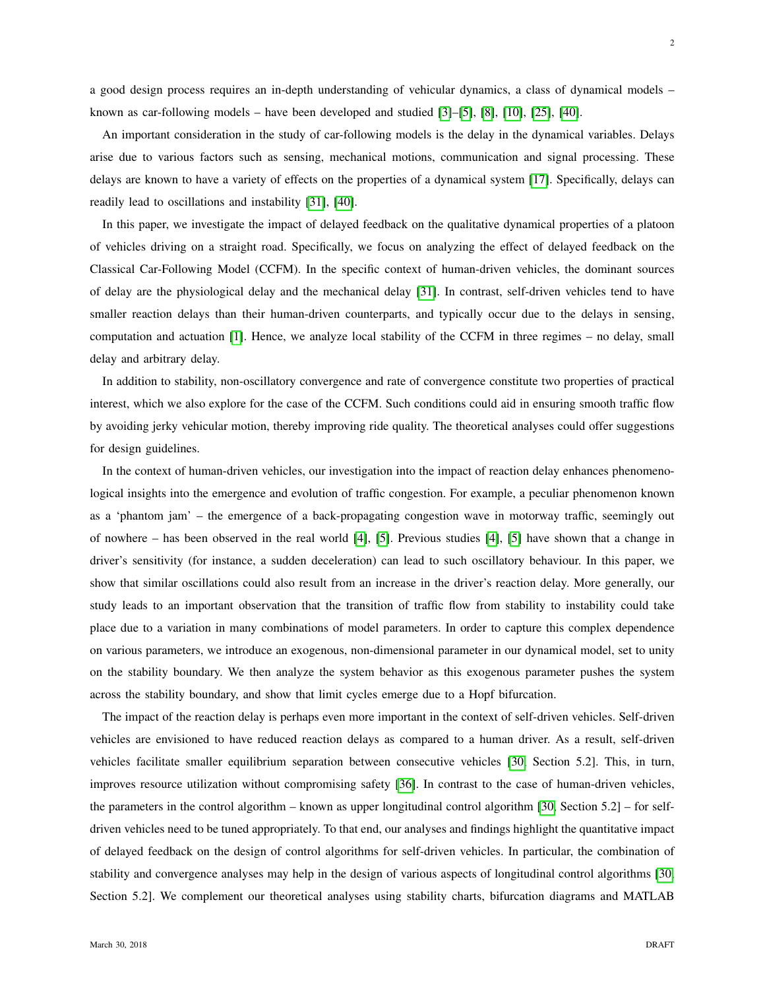a good design process requires an in-depth understanding of vehicular dynamics, a class of dynamical models – known as car-following models – have been developed and studied  $[3]$ – $[5]$ ,  $[8]$ ,  $[10]$ ,  $[25]$ ,  $[40]$ .

An important consideration in the study of car-following models is the delay in the dynamical variables. Delays arise due to various factors such as sensing, mechanical motions, communication and signal processing. These delays are known to have a variety of effects on the properties of a dynamical system [\[17\]](#page-24-5). Specifically, delays can readily lead to oscillations and instability [\[31\]](#page-25-3), [\[40\]](#page-25-2).

In this paper, we investigate the impact of delayed feedback on the qualitative dynamical properties of a platoon of vehicles driving on a straight road. Specifically, we focus on analyzing the effect of delayed feedback on the Classical Car-Following Model (CCFM). In the specific context of human-driven vehicles, the dominant sources of delay are the physiological delay and the mechanical delay [\[31\]](#page-25-3). In contrast, self-driven vehicles tend to have smaller reaction delays than their human-driven counterparts, and typically occur due to the delays in sensing, computation and actuation [\[1\]](#page-24-6). Hence, we analyze local stability of the CCFM in three regimes – no delay, small delay and arbitrary delay.

In addition to stability, non-oscillatory convergence and rate of convergence constitute two properties of practical interest, which we also explore for the case of the CCFM. Such conditions could aid in ensuring smooth traffic flow by avoiding jerky vehicular motion, thereby improving ride quality. The theoretical analyses could offer suggestions for design guidelines.

In the context of human-driven vehicles, our investigation into the impact of reaction delay enhances phenomenological insights into the emergence and evolution of traffic congestion. For example, a peculiar phenomenon known as a 'phantom jam' – the emergence of a back-propagating congestion wave in motorway traffic, seemingly out of nowhere – has been observed in the real world [\[4\]](#page-24-7), [\[5\]](#page-24-1). Previous studies [\[4\]](#page-24-7), [\[5\]](#page-24-1) have shown that a change in driver's sensitivity (for instance, a sudden deceleration) can lead to such oscillatory behaviour. In this paper, we show that similar oscillations could also result from an increase in the driver's reaction delay. More generally, our study leads to an important observation that the transition of traffic flow from stability to instability could take place due to a variation in many combinations of model parameters. In order to capture this complex dependence on various parameters, we introduce an exogenous, non-dimensional parameter in our dynamical model, set to unity on the stability boundary. We then analyze the system behavior as this exogenous parameter pushes the system across the stability boundary, and show that limit cycles emerge due to a Hopf bifurcation.

The impact of the reaction delay is perhaps even more important in the context of self-driven vehicles. Self-driven vehicles are envisioned to have reduced reaction delays as compared to a human driver. As a result, self-driven vehicles facilitate smaller equilibrium separation between consecutive vehicles [\[30,](#page-25-0) Section 5.2]. This, in turn, improves resource utilization without compromising safety [\[36\]](#page-25-1). In contrast to the case of human-driven vehicles, the parameters in the control algorithm – known as upper longitudinal control algorithm [\[30,](#page-25-0) Section 5.2] – for selfdriven vehicles need to be tuned appropriately. To that end, our analyses and findings highlight the quantitative impact of delayed feedback on the design of control algorithms for self-driven vehicles. In particular, the combination of stability and convergence analyses may help in the design of various aspects of longitudinal control algorithms [\[30,](#page-25-0) Section 5.2]. We complement our theoretical analyses using stability charts, bifurcation diagrams and MATLAB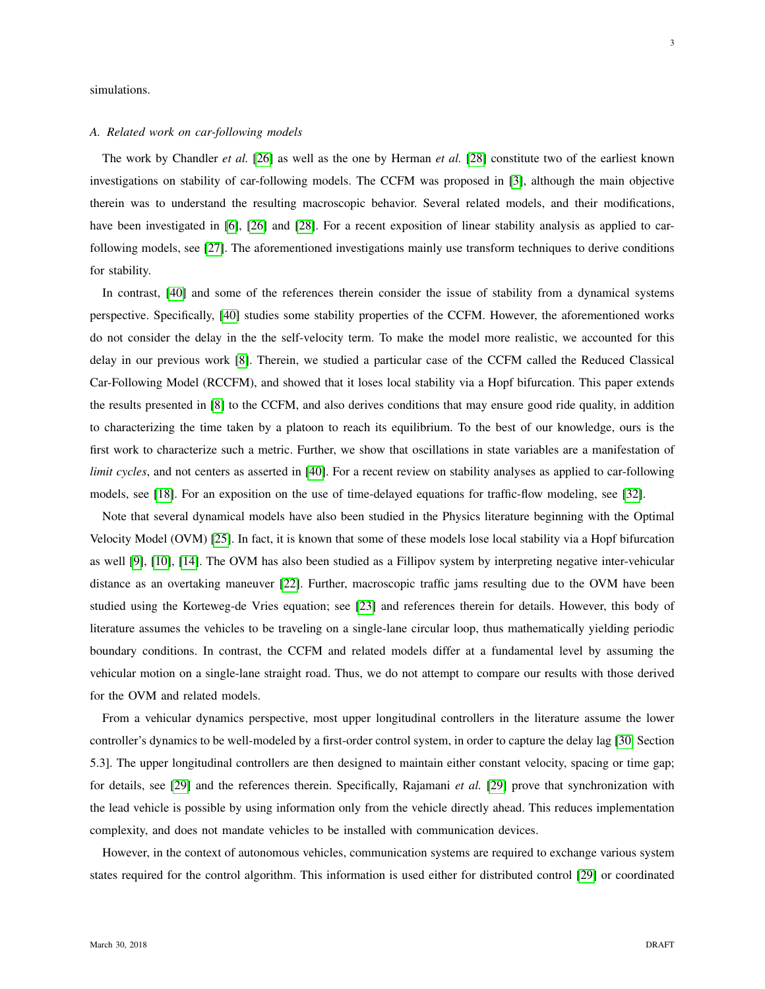simulations.

# *A. Related work on car-following models*

The work by Chandler *et al.* [\[26\]](#page-25-4) as well as the one by Herman *et al.* [\[28\]](#page-25-5) constitute two of the earliest known investigations on stability of car-following models. The CCFM was proposed in [\[3\]](#page-24-0), although the main objective therein was to understand the resulting macroscopic behavior. Several related models, and their modifications, have been investigated in [\[6\]](#page-24-8), [\[26\]](#page-25-4) and [\[28\]](#page-25-5). For a recent exposition of linear stability analysis as applied to carfollowing models, see [\[27\]](#page-25-6). The aforementioned investigations mainly use transform techniques to derive conditions for stability.

In contrast, [\[40\]](#page-25-2) and some of the references therein consider the issue of stability from a dynamical systems perspective. Specifically, [\[40\]](#page-25-2) studies some stability properties of the CCFM. However, the aforementioned works do not consider the delay in the the self-velocity term. To make the model more realistic, we accounted for this delay in our previous work [\[8\]](#page-24-2). Therein, we studied a particular case of the CCFM called the Reduced Classical Car-Following Model (RCCFM), and showed that it loses local stability via a Hopf bifurcation. This paper extends the results presented in [\[8\]](#page-24-2) to the CCFM, and also derives conditions that may ensure good ride quality, in addition to characterizing the time taken by a platoon to reach its equilibrium. To the best of our knowledge, ours is the first work to characterize such a metric. Further, we show that oscillations in state variables are a manifestation of *limit cycles*, and not centers as asserted in [\[40\]](#page-25-2). For a recent review on stability analyses as applied to car-following models, see [\[18\]](#page-24-9). For an exposition on the use of time-delayed equations for traffic-flow modeling, see [\[32\]](#page-25-7).

Note that several dynamical models have also been studied in the Physics literature beginning with the Optimal Velocity Model (OVM) [\[25\]](#page-24-4). In fact, it is known that some of these models lose local stability via a Hopf bifurcation as well [\[9\]](#page-24-10), [\[10\]](#page-24-3), [\[14\]](#page-24-11). The OVM has also been studied as a Fillipov system by interpreting negative inter-vehicular distance as an overtaking maneuver [\[22\]](#page-24-12). Further, macroscopic traffic jams resulting due to the OVM have been studied using the Korteweg-de Vries equation; see [\[23\]](#page-24-13) and references therein for details. However, this body of literature assumes the vehicles to be traveling on a single-lane circular loop, thus mathematically yielding periodic boundary conditions. In contrast, the CCFM and related models differ at a fundamental level by assuming the vehicular motion on a single-lane straight road. Thus, we do not attempt to compare our results with those derived for the OVM and related models.

From a vehicular dynamics perspective, most upper longitudinal controllers in the literature assume the lower controller's dynamics to be well-modeled by a first-order control system, in order to capture the delay lag [\[30,](#page-25-0) Section 5.3]. The upper longitudinal controllers are then designed to maintain either constant velocity, spacing or time gap; for details, see [\[29\]](#page-25-8) and the references therein. Specifically, Rajamani *et al.* [\[29\]](#page-25-8) prove that synchronization with the lead vehicle is possible by using information only from the vehicle directly ahead. This reduces implementation complexity, and does not mandate vehicles to be installed with communication devices.

However, in the context of autonomous vehicles, communication systems are required to exchange various system states required for the control algorithm. This information is used either for distributed control [\[29\]](#page-25-8) or coordinated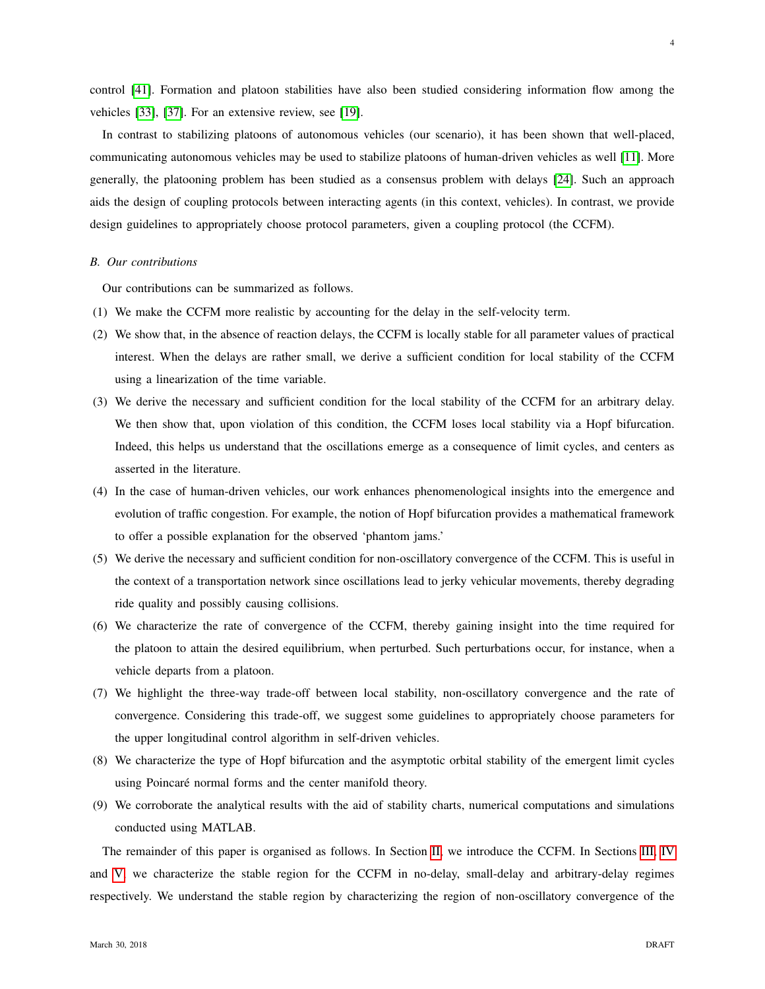control [\[41\]](#page-25-9). Formation and platoon stabilities have also been studied considering information flow among the vehicles [\[33\]](#page-25-10), [\[37\]](#page-25-11). For an extensive review, see [\[19\]](#page-24-14).

In contrast to stabilizing platoons of autonomous vehicles (our scenario), it has been shown that well-placed, communicating autonomous vehicles may be used to stabilize platoons of human-driven vehicles as well [\[11\]](#page-24-15). More generally, the platooning problem has been studied as a consensus problem with delays [\[24\]](#page-24-16). Such an approach aids the design of coupling protocols between interacting agents (in this context, vehicles). In contrast, we provide design guidelines to appropriately choose protocol parameters, given a coupling protocol (the CCFM).

# *B. Our contributions*

Our contributions can be summarized as follows.

- (1) We make the CCFM more realistic by accounting for the delay in the self-velocity term.
- (2) We show that, in the absence of reaction delays, the CCFM is locally stable for all parameter values of practical interest. When the delays are rather small, we derive a sufficient condition for local stability of the CCFM using a linearization of the time variable.
- (3) We derive the necessary and sufficient condition for the local stability of the CCFM for an arbitrary delay. We then show that, upon violation of this condition, the CCFM loses local stability via a Hopf bifurcation. Indeed, this helps us understand that the oscillations emerge as a consequence of limit cycles, and centers as asserted in the literature.
- (4) In the case of human-driven vehicles, our work enhances phenomenological insights into the emergence and evolution of traffic congestion. For example, the notion of Hopf bifurcation provides a mathematical framework to offer a possible explanation for the observed 'phantom jams.'
- (5) We derive the necessary and sufficient condition for non-oscillatory convergence of the CCFM. This is useful in the context of a transportation network since oscillations lead to jerky vehicular movements, thereby degrading ride quality and possibly causing collisions.
- (6) We characterize the rate of convergence of the CCFM, thereby gaining insight into the time required for the platoon to attain the desired equilibrium, when perturbed. Such perturbations occur, for instance, when a vehicle departs from a platoon.
- (7) We highlight the three-way trade-off between local stability, non-oscillatory convergence and the rate of convergence. Considering this trade-off, we suggest some guidelines to appropriately choose parameters for the upper longitudinal control algorithm in self-driven vehicles.
- (8) We characterize the type of Hopf bifurcation and the asymptotic orbital stability of the emergent limit cycles using Poincaré normal forms and the center manifold theory.
- (9) We corroborate the analytical results with the aid of stability charts, numerical computations and simulations conducted using MATLAB.

The remainder of this paper is organised as follows. In Section [II,](#page-4-0) we introduce the CCFM. In Sections [III,](#page-5-0) [IV](#page-6-0) and [V,](#page-7-0) we characterize the stable region for the CCFM in no-delay, small-delay and arbitrary-delay regimes respectively. We understand the stable region by characterizing the region of non-oscillatory convergence of the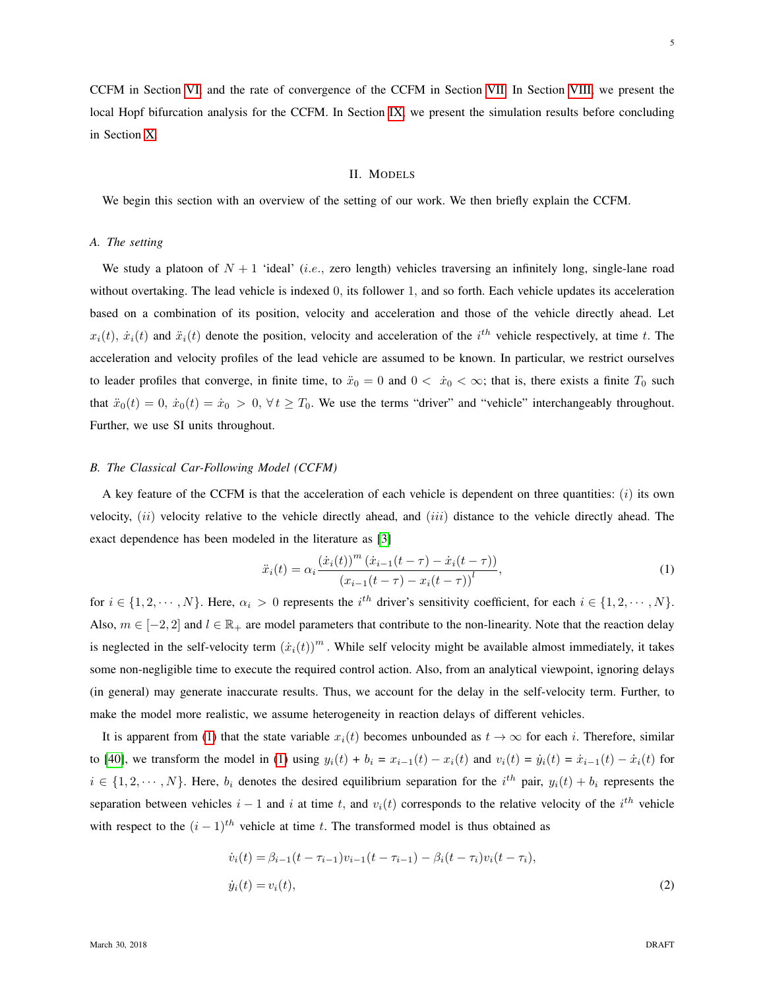CCFM in Section [VI,](#page-10-0) and the rate of convergence of the CCFM in Section [VII.](#page-11-0) In Section [VIII,](#page-13-0) we present the local Hopf bifurcation analysis for the CCFM. In Section [IX,](#page-22-0) we present the simulation results before concluding in Section [X.](#page-23-0)

#### II. MODELS

<span id="page-4-0"></span>We begin this section with an overview of the setting of our work. We then briefly explain the CCFM.

### *A. The setting*

We study a platoon of  $N + 1$  'ideal' (*i.e.*, zero length) vehicles traversing an infinitely long, single-lane road without overtaking. The lead vehicle is indexed 0, its follower 1, and so forth. Each vehicle updates its acceleration based on a combination of its position, velocity and acceleration and those of the vehicle directly ahead. Let  $x_i(t)$ ,  $\dot{x}_i(t)$  and  $\ddot{x}_i(t)$  denote the position, velocity and acceleration of the  $i^{th}$  vehicle respectively, at time t. The acceleration and velocity profiles of the lead vehicle are assumed to be known. In particular, we restrict ourselves to leader profiles that converge, in finite time, to  $\ddot{x}_0 = 0$  and  $0 < \dot{x}_0 < \infty$ ; that is, there exists a finite  $T_0$  such that  $\ddot{x}_0(t) = 0$ ,  $\dot{x}_0(t) = \dot{x}_0 > 0$ ,  $\forall t \geq T_0$ . We use the terms "driver" and "vehicle" interchangeably throughout. Further, we use SI units throughout.

# *B. The Classical Car-Following Model (CCFM)*

A key feature of the CCFM is that the acceleration of each vehicle is dependent on three quantities:  $(i)$  its own velocity,  $(ii)$  velocity relative to the vehicle directly ahead, and  $(iii)$  distance to the vehicle directly ahead. The exact dependence has been modeled in the literature as [\[3\]](#page-24-0)

<span id="page-4-1"></span>
$$
\ddot{x}_i(t) = \alpha_i \frac{\left(\dot{x}_i(t)\right)^m \left(\dot{x}_{i-1}(t-\tau) - \dot{x}_i(t-\tau)\right)}{\left(x_{i-1}(t-\tau) - x_i(t-\tau)\right)^l},\tag{1}
$$

for  $i \in \{1, 2, \dots, N\}$ . Here,  $\alpha_i > 0$  represents the  $i^{th}$  driver's sensitivity coefficient, for each  $i \in \{1, 2, \dots, N\}$ . Also,  $m \in [-2, 2]$  and  $l \in \mathbb{R}_+$  are model parameters that contribute to the non-linearity. Note that the reaction delay is neglected in the self-velocity term  $(\dot{x}_i(t))^m$ . While self velocity might be available almost immediately, it takes some non-negligible time to execute the required control action. Also, from an analytical viewpoint, ignoring delays (in general) may generate inaccurate results. Thus, we account for the delay in the self-velocity term. Further, to make the model more realistic, we assume heterogeneity in reaction delays of different vehicles.

It is apparent from [\(1\)](#page-4-1) that the state variable  $x_i(t)$  becomes unbounded as  $t \to \infty$  for each i. Therefore, similar to [\[40\]](#page-25-2), we transform the model in [\(1\)](#page-4-1) using  $y_i(t) + b_i = x_{i-1}(t) - x_i(t)$  and  $v_i(t) = \dot{y}_i(t) = \dot{x}_{i-1}(t) - \dot{x}_i(t)$  for  $i \in \{1, 2, \dots, N\}$ . Here,  $b_i$  denotes the desired equilibrium separation for the  $i^{th}$  pair,  $y_i(t) + b_i$  represents the separation between vehicles  $i - 1$  and  $i$  at time  $t$ , and  $v_i(t)$  corresponds to the relative velocity of the  $i^{th}$  vehicle with respect to the  $(i - 1)^{th}$  vehicle at time t. The transformed model is thus obtained as

<span id="page-4-2"></span>
$$
\dot{v}_i(t) = \beta_{i-1}(t - \tau_{i-1})v_{i-1}(t - \tau_{i-1}) - \beta_i(t - \tau_i)v_i(t - \tau_i),
$$
  
\n
$$
\dot{y}_i(t) = v_i(t),
$$
\n(2)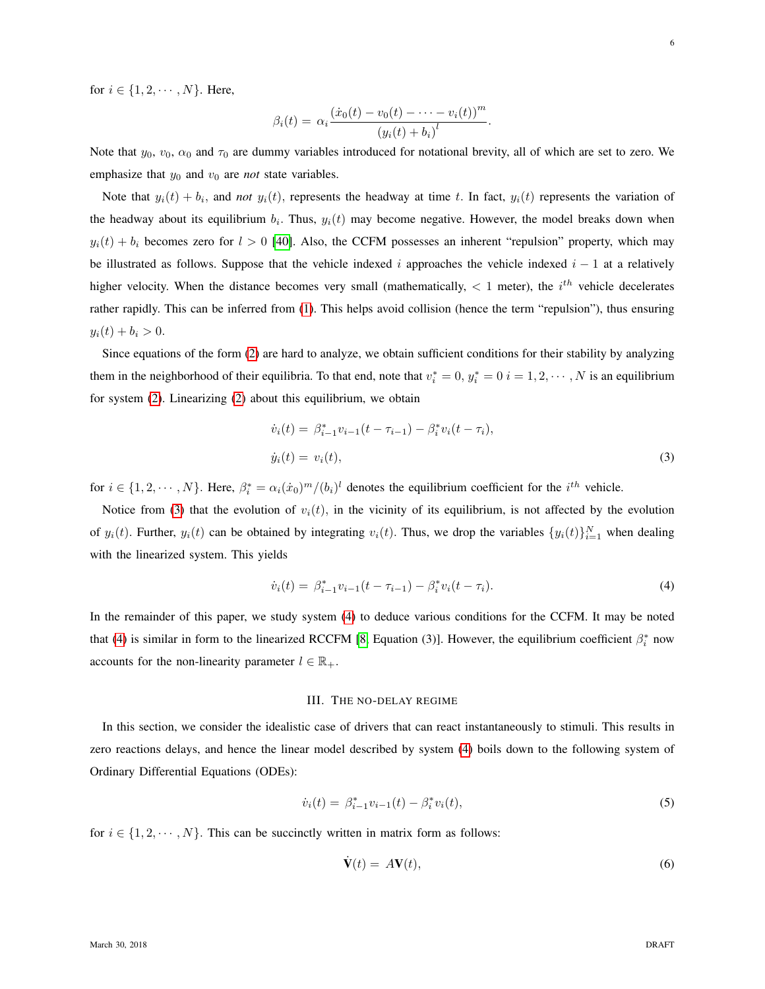for  $i \in \{1, 2, \dots, N\}$ . Here,

$$
\beta_i(t) = \alpha_i \frac{(\dot{x}_0(t) - v_0(t) - \dots - v_i(t))^m}{(y_i(t) + b_i)^l}.
$$

Note that  $y_0$ ,  $v_0$ ,  $\alpha_0$  and  $\tau_0$  are dummy variables introduced for notational brevity, all of which are set to zero. We emphasize that  $y_0$  and  $v_0$  are *not* state variables.

Note that  $y_i(t) + b_i$ , and *not*  $y_i(t)$ , represents the headway at time t. In fact,  $y_i(t)$  represents the variation of the headway about its equilibrium  $b_i$ . Thus,  $y_i(t)$  may become negative. However, the model breaks down when  $y_i(t) + b_i$  becomes zero for  $l > 0$  [\[40\]](#page-25-2). Also, the CCFM possesses an inherent "repulsion" property, which may be illustrated as follows. Suppose that the vehicle indexed i approaches the vehicle indexed  $i - 1$  at a relatively higher velocity. When the distance becomes very small (mathematically,  $\lt 1$  meter), the  $i^{th}$  vehicle decelerates rather rapidly. This can be inferred from [\(1\)](#page-4-1). This helps avoid collision (hence the term "repulsion"), thus ensuring  $y_i(t) + b_i > 0.$ 

Since equations of the form [\(2\)](#page-4-2) are hard to analyze, we obtain sufficient conditions for their stability by analyzing them in the neighborhood of their equilibria. To that end, note that  $v_i^* = 0$ ,  $y_i^* = 0$   $i = 1, 2, \dots, N$  is an equilibrium for system [\(2\)](#page-4-2). Linearizing [\(2\)](#page-4-2) about this equilibrium, we obtain

<span id="page-5-1"></span>
$$
\dot{v}_i(t) = \beta_{i-1}^* v_{i-1}(t - \tau_{i-1}) - \beta_i^* v_i(t - \tau_i),
$$
  
\n
$$
\dot{y}_i(t) = v_i(t),
$$
\n(3)

for  $i \in \{1, 2, \dots, N\}$ . Here,  $\beta_i^* = \alpha_i(\dot{x}_0)^m / (b_i)^l$  denotes the equilibrium coefficient for the  $i^{th}$  vehicle.

Notice from [\(3\)](#page-5-1) that the evolution of  $v<sub>i</sub>(t)$ , in the vicinity of its equilibrium, is not affected by the evolution of  $y_i(t)$ . Further,  $y_i(t)$  can be obtained by integrating  $v_i(t)$ . Thus, we drop the variables  $\{y_i(t)\}_{i=1}^N$  when dealing with the linearized system. This yields

$$
\dot{v}_i(t) = \beta_{i-1}^* v_{i-1}(t - \tau_{i-1}) - \beta_i^* v_i(t - \tau_i). \tag{4}
$$

In the remainder of this paper, we study system [\(4\)](#page-5-2) to deduce various conditions for the CCFM. It may be noted that [\(4\)](#page-5-2) is similar in form to the linearized RCCFM [\[8,](#page-24-2) Equation (3)]. However, the equilibrium coefficient  $\beta_i^*$  now accounts for the non-linearity parameter  $l \in \mathbb{R}_+$ .

# <span id="page-5-2"></span>III. THE NO-DELAY REGIME

<span id="page-5-0"></span>In this section, we consider the idealistic case of drivers that can react instantaneously to stimuli. This results in zero reactions delays, and hence the linear model described by system [\(4\)](#page-5-2) boils down to the following system of Ordinary Differential Equations (ODEs):

$$
\dot{v}_i(t) = \beta_{i-1}^* v_{i-1}(t) - \beta_i^* v_i(t), \tag{5}
$$

for  $i \in \{1, 2, \dots, N\}$ . This can be succinctly written in matrix form as follows:

<span id="page-5-4"></span><span id="page-5-3"></span>
$$
\dot{\mathbf{V}}(t) = A\mathbf{V}(t),\tag{6}
$$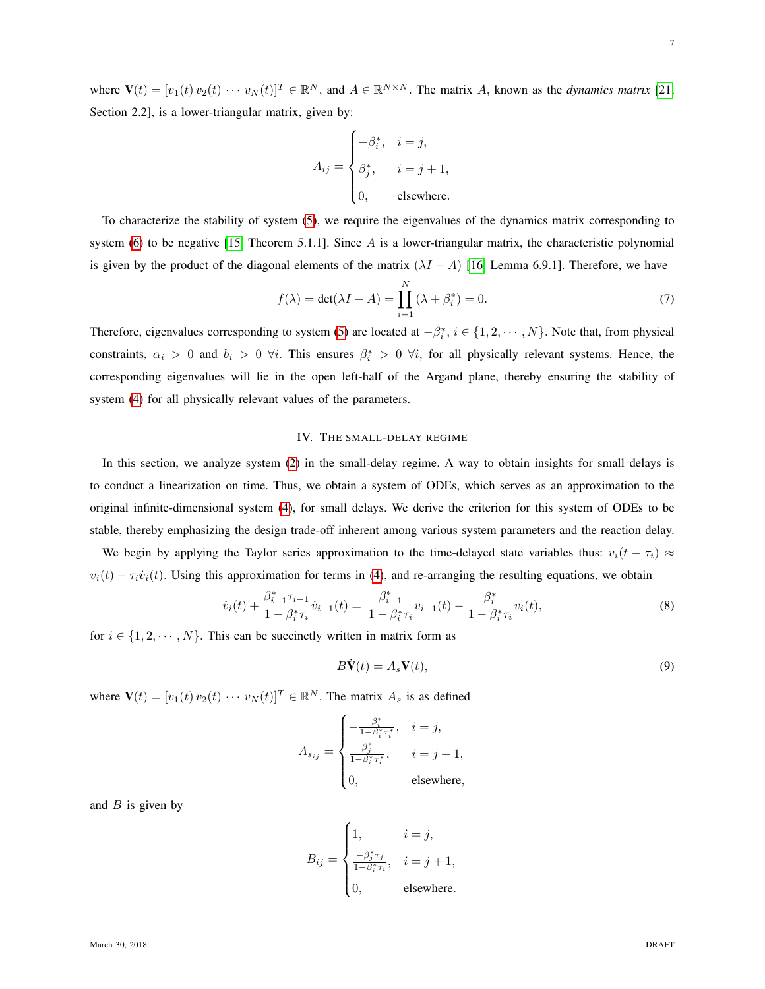where  $\mathbf{V}(t) = [v_1(t) v_2(t) \cdots v_N(t)]^T \in \mathbb{R}^N$ , and  $A \in \mathbb{R}^{N \times N}$ . The matrix A, known as the *dynamics matrix* [\[21,](#page-24-17) Section 2.2], is a lower-triangular matrix, given by:

$$
A_{ij} = \begin{cases} -\beta_i^*, & i = j, \\ \beta_j^*, & i = j + 1, \\ 0, & \text{elsewhere.} \end{cases}
$$

To characterize the stability of system [\(5\)](#page-5-3), we require the eigenvalues of the dynamics matrix corresponding to system [\(6\)](#page-5-4) to be negative [\[15,](#page-24-18) Theorem 5.1.1]. Since A is a lower-triangular matrix, the characteristic polynomial is given by the product of the diagonal elements of the matrix  $(\lambda I - A)$  [\[16,](#page-24-19) Lemma 6.9.1]. Therefore, we have

$$
f(\lambda) = \det(\lambda I - A) = \prod_{i=1}^{N} (\lambda + \beta_i^*) = 0.
$$
 (7)

Therefore, eigenvalues corresponding to system [\(5\)](#page-5-3) are located at  $-\beta_i^*$ ,  $i \in \{1, 2, \dots, N\}$ . Note that, from physical constraints,  $\alpha_i > 0$  and  $b_i > 0$   $\forall i$ . This ensures  $\beta_i^* > 0$   $\forall i$ , for all physically relevant systems. Hence, the corresponding eigenvalues will lie in the open left-half of the Argand plane, thereby ensuring the stability of system [\(4\)](#page-5-2) for all physically relevant values of the parameters.

## IV. THE SMALL-DELAY REGIME

<span id="page-6-0"></span>In this section, we analyze system [\(2\)](#page-4-2) in the small-delay regime. A way to obtain insights for small delays is to conduct a linearization on time. Thus, we obtain a system of ODEs, which serves as an approximation to the original infinite-dimensional system [\(4\)](#page-5-2), for small delays. We derive the criterion for this system of ODEs to be stable, thereby emphasizing the design trade-off inherent among various system parameters and the reaction delay.

We begin by applying the Taylor series approximation to the time-delayed state variables thus:  $v_i(t - \tau_i) \approx$  $v_i(t) - \tau_i \dot{v}_i(t)$ . Using this approximation for terms in [\(4\)](#page-5-2), and re-arranging the resulting equations, we obtain

$$
\dot{v}_i(t) + \frac{\beta_{i-1}^* \tau_{i-1}}{1 - \beta_i^* \tau_i} \dot{v}_{i-1}(t) = \frac{\beta_{i-1}^*}{1 - \beta_i^* \tau_i} v_{i-1}(t) - \frac{\beta_i^*}{1 - \beta_i^* \tau_i} v_i(t),\tag{8}
$$

for  $i \in \{1, 2, \dots, N\}$ . This can be succinctly written in matrix form as

<span id="page-6-1"></span>
$$
B\dot{\mathbf{V}}(t) = A_s \mathbf{V}(t),\tag{9}
$$

where  $\mathbf{V}(t) = [v_1(t) v_2(t) \cdots v_N(t)]^T \in \mathbb{R}^N$ . The matrix  $A_s$  is as defined

$$
A_{s_{ij}} = \begin{cases} -\frac{\beta_i^*}{1 - \beta_i^* \tau_i^*}, & i = j, \\ \frac{\beta_j^*}{1 - \beta_i^* \tau_i^*}, & i = j + 1, \\ 0, & \text{elsewhere,} \end{cases}
$$

and  $B$  is given by

$$
B_{ij} = \begin{cases} 1, & i = j, \\ \frac{-\beta_j^* \tau_j}{1 - \beta_i^* \tau_i}, & i = j + 1, \\ 0, & \text{elsewhere.} \end{cases}
$$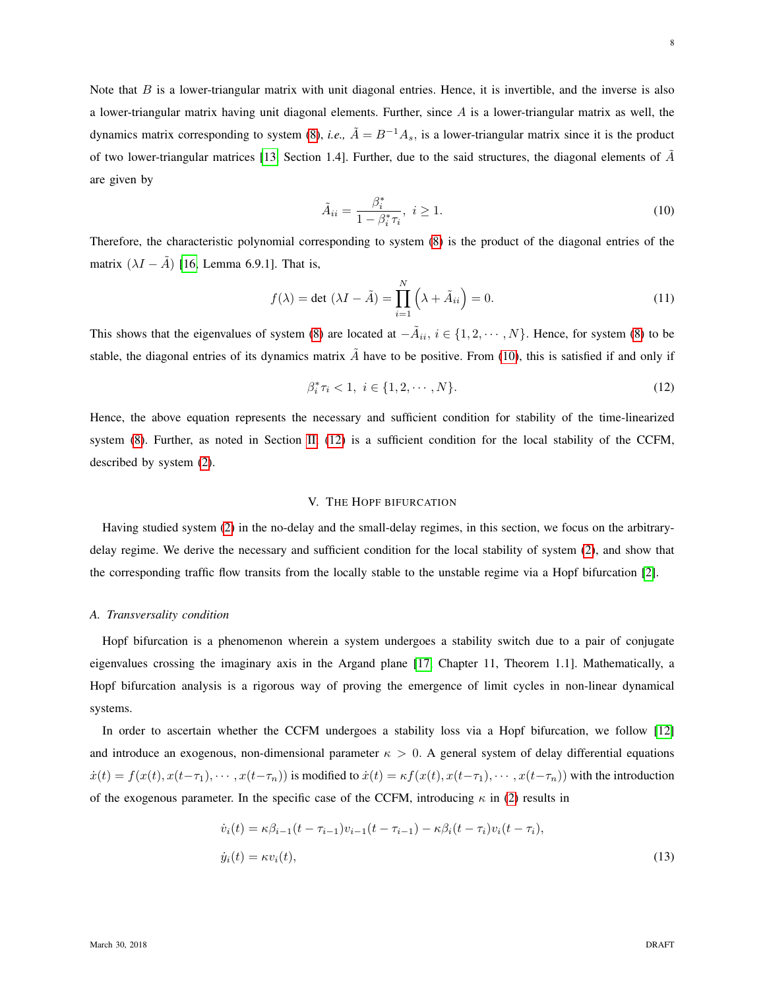Note that  $B$  is a lower-triangular matrix with unit diagonal entries. Hence, it is invertible, and the inverse is also a lower-triangular matrix having unit diagonal elements. Further, since  $A$  is a lower-triangular matrix as well, the dynamics matrix corresponding to system [\(8\)](#page-6-1), *i.e.*,  $\tilde{A} = B^{-1}A_s$ , is a lower-triangular matrix since it is the product of two lower-triangular matrices [\[13,](#page-24-20) Section 1.4]. Further, due to the said structures, the diagonal elements of  $\tilde{A}$ are given by

<span id="page-7-1"></span>
$$
\tilde{A}_{ii} = \frac{\beta_i^*}{1 - \beta_i^* \tau_i}, \ i \ge 1.
$$
\n<sup>(10)</sup>

Therefore, the characteristic polynomial corresponding to system [\(8\)](#page-6-1) is the product of the diagonal entries of the matrix  $(\lambda I - \tilde{A})$  [\[16,](#page-24-19) Lemma 6.9.1]. That is,

$$
f(\lambda) = \det (\lambda I - \tilde{A}) = \prod_{i=1}^{N} (\lambda + \tilde{A}_{ii}) = 0.
$$
 (11)

This shows that the eigenvalues of system [\(8\)](#page-6-1) are located at  $-\tilde{A}_{ii}$ ,  $i \in \{1, 2, \dots, N\}$ . Hence, for system (8) to be stable, the diagonal entries of its dynamics matrix  $\vec{A}$  have to be positive. From [\(10\)](#page-7-1), this is satisfied if and only if

<span id="page-7-2"></span>
$$
\beta_i^* \tau_i < 1, \ i \in \{1, 2, \cdots, N\}. \tag{12}
$$

Hence, the above equation represents the necessary and sufficient condition for stability of the time-linearized system [\(8\)](#page-6-1). Further, as noted in Section [II,](#page-4-0) [\(12\)](#page-7-2) is a sufficient condition for the local stability of the CCFM, described by system [\(2\)](#page-4-2).

# V. THE HOPF BIFURCATION

<span id="page-7-0"></span>Having studied system [\(2\)](#page-4-2) in the no-delay and the small-delay regimes, in this section, we focus on the arbitrarydelay regime. We derive the necessary and sufficient condition for the local stability of system [\(2\)](#page-4-2), and show that the corresponding traffic flow transits from the locally stable to the unstable regime via a Hopf bifurcation [\[2\]](#page-24-21).

#### <span id="page-7-4"></span>*A. Transversality condition*

Hopf bifurcation is a phenomenon wherein a system undergoes a stability switch due to a pair of conjugate eigenvalues crossing the imaginary axis in the Argand plane [\[17,](#page-24-5) Chapter 11, Theorem 1.1]. Mathematically, a Hopf bifurcation analysis is a rigorous way of proving the emergence of limit cycles in non-linear dynamical systems.

In order to ascertain whether the CCFM undergoes a stability loss via a Hopf bifurcation, we follow [\[12\]](#page-24-22) and introduce an exogenous, non-dimensional parameter  $\kappa > 0$ . A general system of delay differential equations  $\dot{x}(t) = f(x(t), x(t-\tau_1), \dots, x(t-\tau_n))$  is modified to  $\dot{x}(t) = \kappa f(x(t), x(t-\tau_1), \dots, x(t-\tau_n))$  with the introduction of the exogenous parameter. In the specific case of the CCFM, introducing  $\kappa$  in [\(2\)](#page-4-2) results in

<span id="page-7-3"></span>
$$
\dot{v}_i(t) = \kappa \beta_{i-1}(t - \tau_{i-1}) v_{i-1}(t - \tau_{i-1}) - \kappa \beta_i(t - \tau_i) v_i(t - \tau_i),
$$
  
\n
$$
\dot{y}_i(t) = \kappa v_i(t),
$$
\n(13)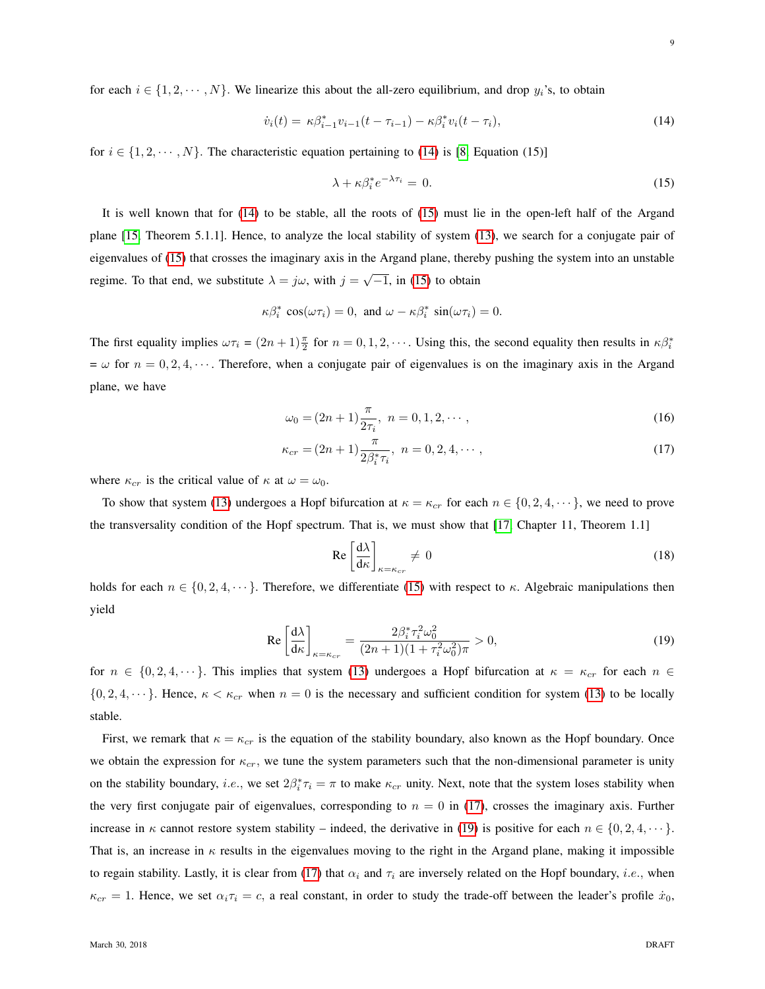for each  $i \in \{1, 2, \dots, N\}$ . We linearize this about the all-zero equilibrium, and drop  $y_i$ 's, to obtain

$$
\dot{v}_i(t) = \kappa \beta_{i-1}^* v_{i-1}(t - \tau_{i-1}) - \kappa \beta_i^* v_i(t - \tau_i), \tag{14}
$$

for  $i \in \{1, 2, \dots, N\}$ . The characteristic equation pertaining to [\(14\)](#page-8-0) is [\[8,](#page-24-2) Equation (15)]

<span id="page-8-1"></span><span id="page-8-0"></span>
$$
\lambda + \kappa \beta_i^* e^{-\lambda \tau_i} = 0. \tag{15}
$$

It is well known that for [\(14\)](#page-8-0) to be stable, all the roots of [\(15\)](#page-8-1) must lie in the open-left half of the Argand plane [\[15,](#page-24-18) Theorem 5.1.1]. Hence, to analyze the local stability of system [\(13\)](#page-7-3), we search for a conjugate pair of eigenvalues of [\(15\)](#page-8-1) that crosses the imaginary axis in the Argand plane, thereby pushing the system into an unstable regime. To that end, we substitute  $\lambda = j\omega$ , with  $j = \sqrt{-1}$ , in [\(15\)](#page-8-1) to obtain

$$
\kappa \beta_i^* \cos(\omega \tau_i) = 0, \text{ and } \omega - \kappa \beta_i^* \sin(\omega \tau_i) = 0.
$$

The first equality implies  $\omega \tau_i = (2n+1)\frac{\pi}{2}$  for  $n = 0, 1, 2, \cdots$ . Using this, the second equality then results in  $\kappa \beta_i^*$  $=\omega$  for  $n = 0, 2, 4, \cdots$ . Therefore, when a conjugate pair of eigenvalues is on the imaginary axis in the Argand plane, we have

$$
\omega_0 = (2n+1)\frac{\pi}{2\tau_i}, \ n = 0, 1, 2, \cdots,
$$
\n(16)

$$
\kappa_{cr} = (2n+1)\frac{\pi}{2\beta_i^*\tau_i}, \ n = 0, 2, 4, \cdots,
$$
\n(17)

where  $\kappa_{cr}$  is the critical value of  $\kappa$  at  $\omega = \omega_0$ .

To show that system [\(13\)](#page-7-3) undergoes a Hopf bifurcation at  $\kappa = \kappa_{cr}$  for each  $n \in \{0, 2, 4, \dots\}$ , we need to prove the transversality condition of the Hopf spectrum. That is, we must show that [\[17,](#page-24-5) Chapter 11, Theorem 1.1]

<span id="page-8-4"></span><span id="page-8-3"></span><span id="page-8-2"></span>
$$
\operatorname{Re}\left[\frac{\mathrm{d}\lambda}{\mathrm{d}\kappa}\right]_{\kappa=\kappa_{cr}}\neq 0\tag{18}
$$

holds for each  $n \in \{0, 2, 4, \dots\}$ . Therefore, we differentiate [\(15\)](#page-8-1) with respect to  $\kappa$ . Algebraic manipulations then yield

$$
\operatorname{Re}\left[\frac{\mathrm{d}\lambda}{\mathrm{d}\kappa}\right]_{\kappa=\kappa_{cr}} = \frac{2\beta_i^* \tau_i^2 \omega_0^2}{(2n+1)(1+\tau_i^2 \omega_0^2)\pi} > 0,\tag{19}
$$

for  $n \in \{0, 2, 4, \dots\}$ . This implies that system [\(13\)](#page-7-3) undergoes a Hopf bifurcation at  $\kappa = \kappa_{cr}$  for each  $n \in \mathbb{Z}$  $\{0, 2, 4, \dots\}$ . Hence,  $\kappa < \kappa_{cr}$  when  $n = 0$  is the necessary and sufficient condition for system [\(13\)](#page-7-3) to be locally stable.

First, we remark that  $\kappa = \kappa_{cr}$  is the equation of the stability boundary, also known as the Hopf boundary. Once we obtain the expression for  $\kappa_{cr}$ , we tune the system parameters such that the non-dimensional parameter is unity on the stability boundary, *i.e.*, we set  $2\beta_i^* \tau_i = \pi$  to make  $\kappa_{cr}$  unity. Next, note that the system loses stability when the very first conjugate pair of eigenvalues, corresponding to  $n = 0$  in [\(17\)](#page-8-2), crosses the imaginary axis. Further increase in  $\kappa$  cannot restore system stability – indeed, the derivative in [\(19\)](#page-8-3) is positive for each  $n \in \{0, 2, 4, \dots\}$ . That is, an increase in  $\kappa$  results in the eigenvalues moving to the right in the Argand plane, making it impossible to regain stability. Lastly, it is clear from [\(17\)](#page-8-2) that  $\alpha_i$  and  $\tau_i$  are inversely related on the Hopf boundary, *i.e.*, when  $\kappa_{cr} = 1$ . Hence, we set  $\alpha_i \tau_i = c$ , a real constant, in order to study the trade-off between the leader's profile  $\dot{x}_0$ ,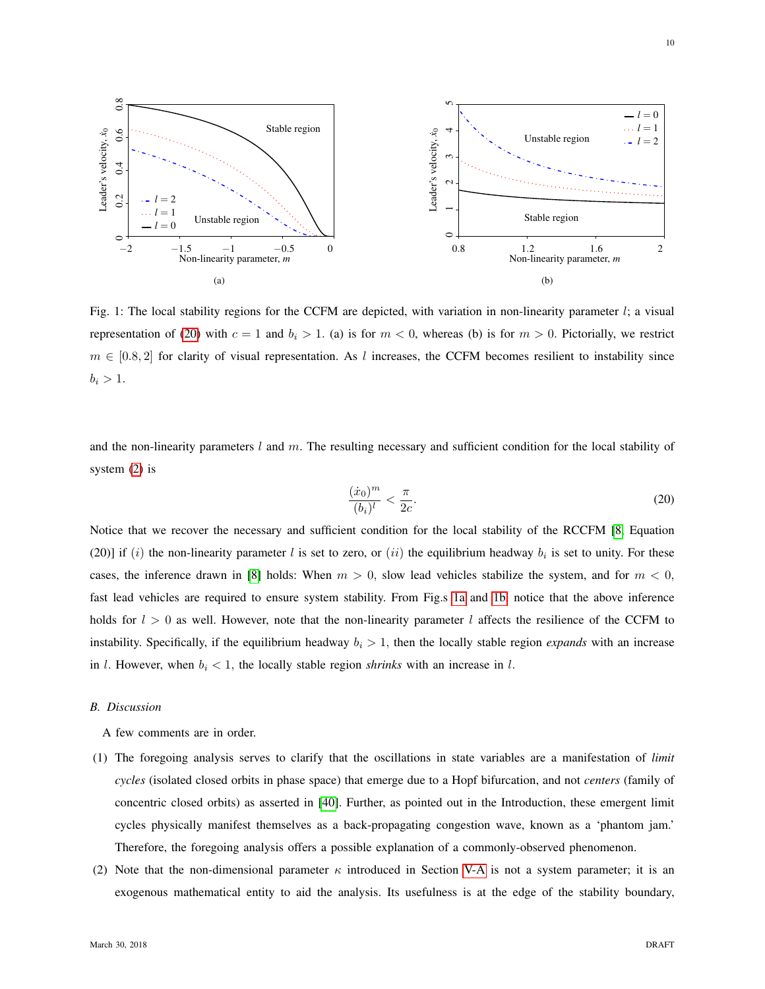<span id="page-9-1"></span>

Fig. 1: The local stability regions for the CCFM are depicted, with variation in non-linearity parameter l; a visual representation of [\(20\)](#page-9-0) with  $c = 1$  and  $b_i > 1$ . (a) is for  $m < 0$ , whereas (b) is for  $m > 0$ . Pictorially, we restrict  $m \in [0.8, 2]$  for clarity of visual representation. As l increases, the CCFM becomes resilient to instability since  $b_i > 1$ .

and the non-linearity parameters  $l$  and  $m$ . The resulting necessary and sufficient condition for the local stability of system [\(2\)](#page-4-2) is

<span id="page-9-2"></span><span id="page-9-0"></span>
$$
\frac{(\dot{x}_0)^m}{(b_i)^l} < \frac{\pi}{2c}.\tag{20}
$$

Notice that we recover the necessary and sufficient condition for the local stability of the RCCFM [\[8,](#page-24-2) Equation (20)] if (i) the non-linearity parameter l is set to zero, or (ii) the equilibrium headway  $b_i$  is set to unity. For these cases, the inference drawn in [\[8\]](#page-24-2) holds: When  $m > 0$ , slow lead vehicles stabilize the system, and for  $m < 0$ , fast lead vehicles are required to ensure system stability. From Fig.s [1a](#page-9-1) and [1b,](#page-9-2) notice that the above inference holds for  $l > 0$  as well. However, note that the non-linearity parameter l affects the resilience of the CCFM to instability. Specifically, if the equilibrium headway  $b_i > 1$ , then the locally stable region *expands* with an increase in *l*. However, when  $b_i < 1$ , the locally stable region *shrinks* with an increase in *l*.

# *B. Discussion*

A few comments are in order.

- (1) The foregoing analysis serves to clarify that the oscillations in state variables are a manifestation of *limit cycles* (isolated closed orbits in phase space) that emerge due to a Hopf bifurcation, and not *centers* (family of concentric closed orbits) as asserted in [\[40\]](#page-25-2). Further, as pointed out in the Introduction, these emergent limit cycles physically manifest themselves as a back-propagating congestion wave, known as a 'phantom jam.' Therefore, the foregoing analysis offers a possible explanation of a commonly-observed phenomenon.
- (2) Note that the non-dimensional parameter  $\kappa$  introduced in Section [V-A](#page-7-4) is not a system parameter; it is an exogenous mathematical entity to aid the analysis. Its usefulness is at the edge of the stability boundary,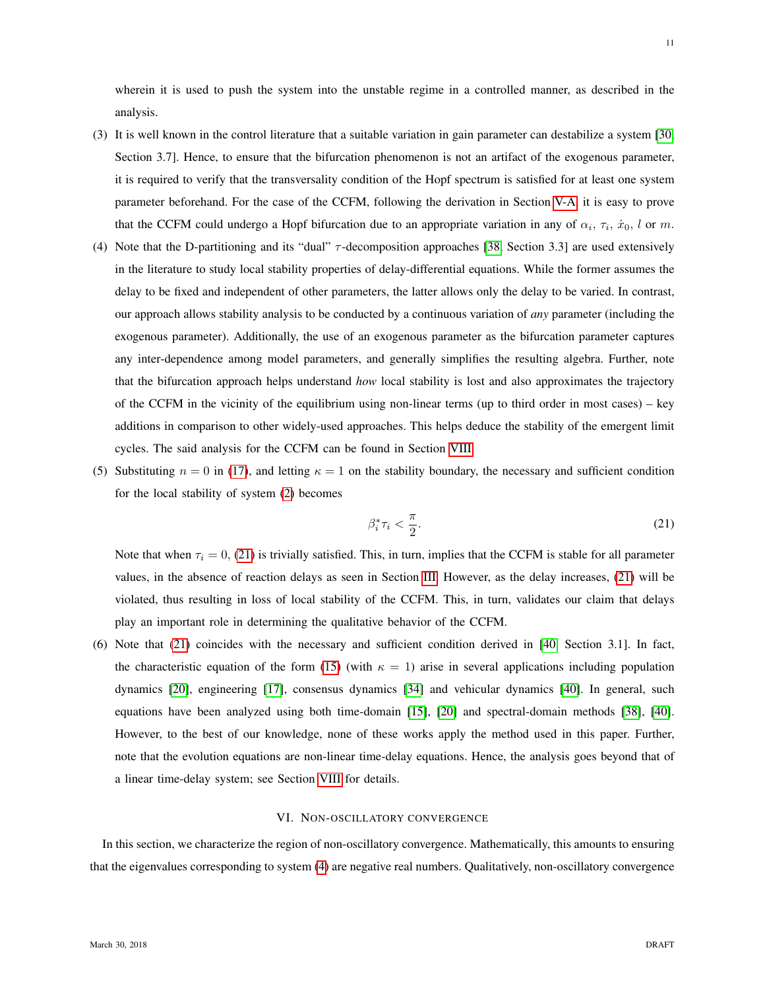wherein it is used to push the system into the unstable regime in a controlled manner, as described in the analysis.

- (3) It is well known in the control literature that a suitable variation in gain parameter can destabilize a system [\[30,](#page-25-0) Section 3.7]. Hence, to ensure that the bifurcation phenomenon is not an artifact of the exogenous parameter, it is required to verify that the transversality condition of the Hopf spectrum is satisfied for at least one system parameter beforehand. For the case of the CCFM, following the derivation in Section [V-A,](#page-7-4) it is easy to prove that the CCFM could undergo a Hopf bifurcation due to an appropriate variation in any of  $\alpha_i$ ,  $\tau_i$ ,  $\dot{x}_0$ , l or m.
- (4) Note that the D-partitioning and its "dual" τ -decomposition approaches [\[38,](#page-25-12) Section 3.3] are used extensively in the literature to study local stability properties of delay-differential equations. While the former assumes the delay to be fixed and independent of other parameters, the latter allows only the delay to be varied. In contrast, our approach allows stability analysis to be conducted by a continuous variation of *any* parameter (including the exogenous parameter). Additionally, the use of an exogenous parameter as the bifurcation parameter captures any inter-dependence among model parameters, and generally simplifies the resulting algebra. Further, note that the bifurcation approach helps understand *how* local stability is lost and also approximates the trajectory of the CCFM in the vicinity of the equilibrium using non-linear terms (up to third order in most cases) – key additions in comparison to other widely-used approaches. This helps deduce the stability of the emergent limit cycles. The said analysis for the CCFM can be found in Section [VIII.](#page-13-0)
- (5) Substituting  $n = 0$  in [\(17\)](#page-8-2), and letting  $\kappa = 1$  on the stability boundary, the necessary and sufficient condition for the local stability of system [\(2\)](#page-4-2) becomes

<span id="page-10-1"></span>
$$
\beta_i^* \tau_i < \frac{\pi}{2}.\tag{21}
$$

Note that when  $\tau_i = 0$ , [\(21\)](#page-10-1) is trivially satisfied. This, in turn, implies that the CCFM is stable for all parameter values, in the absence of reaction delays as seen in Section [III.](#page-5-0) However, as the delay increases, [\(21\)](#page-10-1) will be violated, thus resulting in loss of local stability of the CCFM. This, in turn, validates our claim that delays play an important role in determining the qualitative behavior of the CCFM.

(6) Note that [\(21\)](#page-10-1) coincides with the necessary and sufficient condition derived in [\[40,](#page-25-2) Section 3.1]. In fact, the characteristic equation of the form [\(15\)](#page-8-1) (with  $\kappa = 1$ ) arise in several applications including population dynamics [\[20\]](#page-24-23), engineering [\[17\]](#page-24-5), consensus dynamics [\[34\]](#page-25-13) and vehicular dynamics [\[40\]](#page-25-2). In general, such equations have been analyzed using both time-domain [\[15\]](#page-24-18), [\[20\]](#page-24-23) and spectral-domain methods [\[38\]](#page-25-12), [\[40\]](#page-25-2). However, to the best of our knowledge, none of these works apply the method used in this paper. Further, note that the evolution equations are non-linear time-delay equations. Hence, the analysis goes beyond that of a linear time-delay system; see Section [VIII](#page-13-0) for details.

# VI. NON-OSCILLATORY CONVERGENCE

<span id="page-10-0"></span>In this section, we characterize the region of non-oscillatory convergence. Mathematically, this amounts to ensuring that the eigenvalues corresponding to system [\(4\)](#page-5-2) are negative real numbers. Qualitatively, non-oscillatory convergence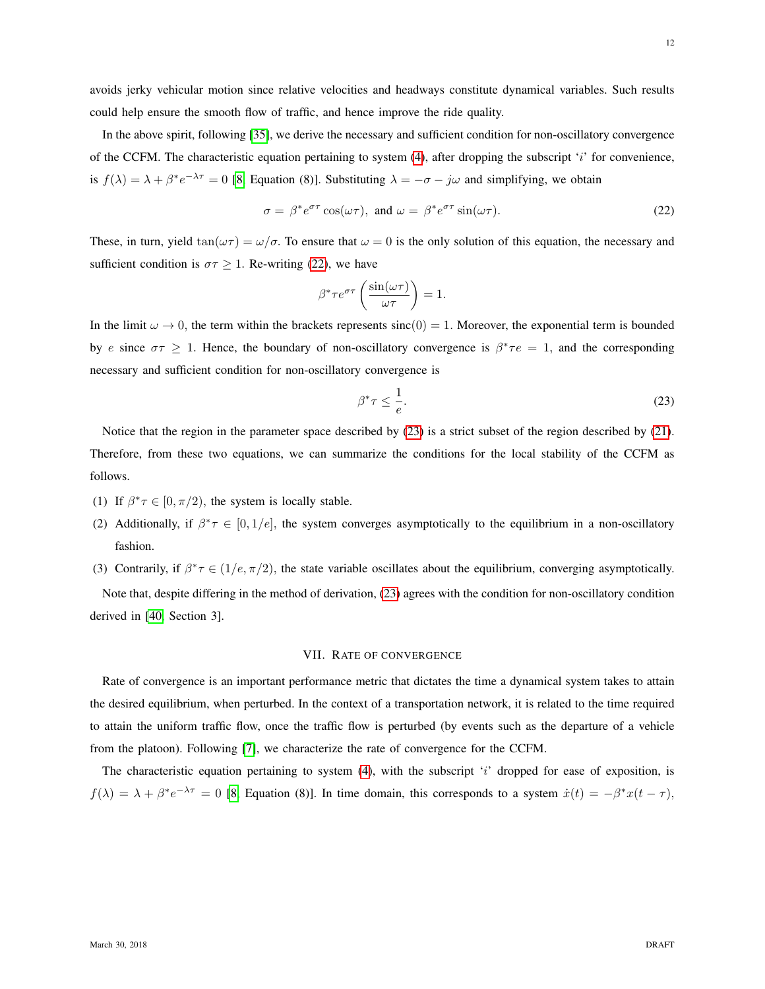avoids jerky vehicular motion since relative velocities and headways constitute dynamical variables. Such results could help ensure the smooth flow of traffic, and hence improve the ride quality.

In the above spirit, following [\[35\]](#page-25-14), we derive the necessary and sufficient condition for non-oscillatory convergence of the CCFM. The characteristic equation pertaining to system  $(4)$ , after dropping the subscript 'i' for convenience, is  $f(\lambda) = \lambda + \beta^* e^{-\lambda \tau} = 0$  [\[8,](#page-24-2) Equation (8)]. Substituting  $\lambda = -\sigma - j\omega$  and simplifying, we obtain

$$
\sigma = \beta^* e^{\sigma \tau} \cos(\omega \tau), \text{ and } \omega = \beta^* e^{\sigma \tau} \sin(\omega \tau). \tag{22}
$$

These, in turn, yield  $\tan(\omega \tau) = \omega/\sigma$ . To ensure that  $\omega = 0$  is the only solution of this equation, the necessary and sufficient condition is  $\sigma \tau \geq 1$ . Re-writing [\(22\)](#page-11-1), we have

<span id="page-11-1"></span>
$$
\beta^* \tau e^{\sigma \tau} \left( \frac{\sin(\omega \tau)}{\omega \tau} \right) = 1.
$$

In the limit  $\omega \to 0$ , the term within the brackets represents sinc(0) = 1. Moreover, the exponential term is bounded by e since  $\sigma\tau \geq 1$ . Hence, the boundary of non-oscillatory convergence is  $\beta^*\tau e = 1$ , and the corresponding necessary and sufficient condition for non-oscillatory convergence is

<span id="page-11-2"></span>
$$
\beta^* \tau \le \frac{1}{e}.\tag{23}
$$

Notice that the region in the parameter space described by [\(23\)](#page-11-2) is a strict subset of the region described by [\(21\)](#page-10-1). Therefore, from these two equations, we can summarize the conditions for the local stability of the CCFM as follows.

- (1) If  $\beta^* \tau \in [0, \pi/2)$ , the system is locally stable.
- (2) Additionally, if  $\beta^* \tau \in [0, 1/e]$ , the system converges asymptotically to the equilibrium in a non-oscillatory fashion.
- (3) Contrarily, if  $\beta^* \tau \in (1/e, \pi/2)$ , the state variable oscillates about the equilibrium, converging asymptotically.

Note that, despite differing in the method of derivation, [\(23\)](#page-11-2) agrees with the condition for non-oscillatory condition derived in [\[40,](#page-25-2) Section 3].

#### VII. RATE OF CONVERGENCE

<span id="page-11-0"></span>Rate of convergence is an important performance metric that dictates the time a dynamical system takes to attain the desired equilibrium, when perturbed. In the context of a transportation network, it is related to the time required to attain the uniform traffic flow, once the traffic flow is perturbed (by events such as the departure of a vehicle from the platoon). Following [\[7\]](#page-24-24), we characterize the rate of convergence for the CCFM.

The characteristic equation pertaining to system  $(4)$ , with the subscript 'i' dropped for ease of exposition, is  $f(\lambda) = \lambda + \beta^* e^{-\lambda \tau} = 0$  [\[8,](#page-24-2) Equation (8)]. In time domain, this corresponds to a system  $\dot{x}(t) = -\beta^* x(t - \tau)$ ,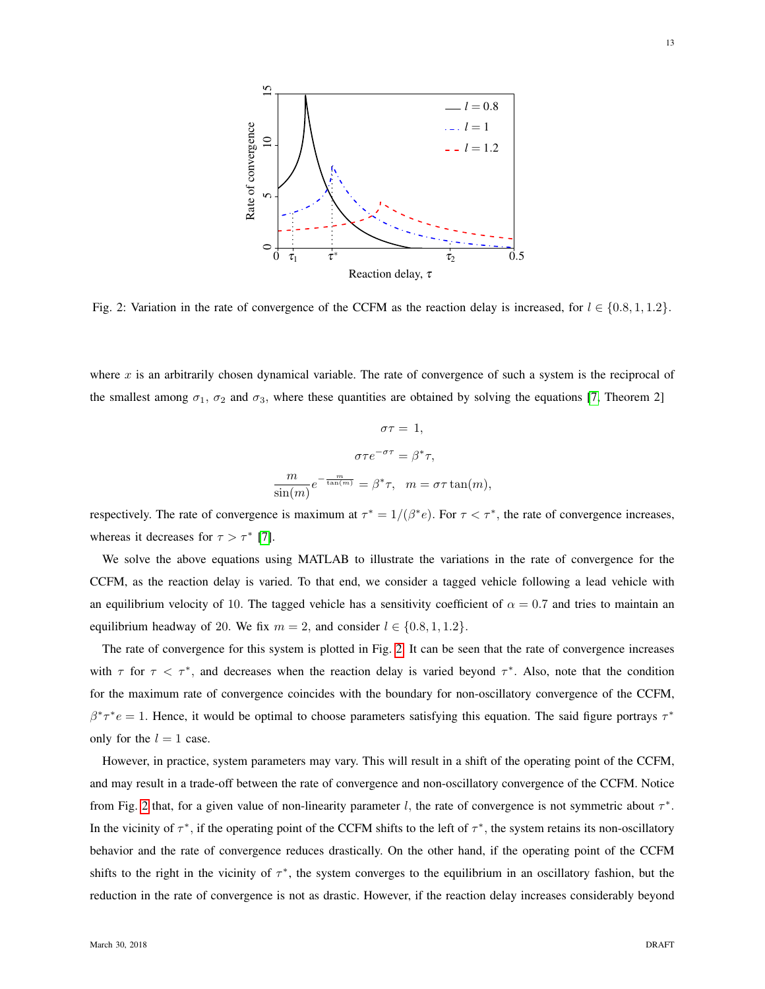<span id="page-12-0"></span>

Fig. 2: Variation in the rate of convergence of the CCFM as the reaction delay is increased, for  $l \in \{0.8, 1, 1.2\}$ .

where x is an arbitrarily chosen dynamical variable. The rate of convergence of such a system is the reciprocal of the smallest among  $\sigma_1$ ,  $\sigma_2$  and  $\sigma_3$ , where these quantities are obtained by solving the equations [\[7,](#page-24-24) Theorem 2]

$$
\sigma \tau = 1,
$$
  
\n
$$
\sigma \tau e^{-\sigma \tau} = \beta^* \tau,
$$
  
\n
$$
\frac{m}{\sin(m)} e^{-\frac{m}{\tan(m)}} = \beta^* \tau, \quad m = \sigma \tau \tan(m),
$$

respectively. The rate of convergence is maximum at  $\tau^* = 1/(\beta^*e)$ . For  $\tau < \tau^*$ , the rate of convergence increases, whereas it decreases for  $\tau > \tau^*$  [\[7\]](#page-24-24).

We solve the above equations using MATLAB to illustrate the variations in the rate of convergence for the CCFM, as the reaction delay is varied. To that end, we consider a tagged vehicle following a lead vehicle with an equilibrium velocity of 10. The tagged vehicle has a sensitivity coefficient of  $\alpha = 0.7$  and tries to maintain an equilibrium headway of 20. We fix  $m = 2$ , and consider  $l \in \{0.8, 1, 1.2\}$ .

The rate of convergence for this system is plotted in Fig. [2.](#page-12-0) It can be seen that the rate of convergence increases with  $\tau$  for  $\tau < \tau^*$ , and decreases when the reaction delay is varied beyond  $\tau^*$ . Also, note that the condition for the maximum rate of convergence coincides with the boundary for non-oscillatory convergence of the CCFM,  $\beta^* \tau^* e = 1$ . Hence, it would be optimal to choose parameters satisfying this equation. The said figure portrays  $\tau^*$ only for the  $l = 1$  case.

However, in practice, system parameters may vary. This will result in a shift of the operating point of the CCFM, and may result in a trade-off between the rate of convergence and non-oscillatory convergence of the CCFM. Notice from Fig. [2](#page-12-0) that, for a given value of non-linearity parameter l, the rate of convergence is not symmetric about  $\tau^*$ . In the vicinity of  $\tau^*$ , if the operating point of the CCFM shifts to the left of  $\tau^*$ , the system retains its non-oscillatory behavior and the rate of convergence reduces drastically. On the other hand, if the operating point of the CCFM shifts to the right in the vicinity of  $\tau^*$ , the system converges to the equilibrium in an oscillatory fashion, but the reduction in the rate of convergence is not as drastic. However, if the reaction delay increases considerably beyond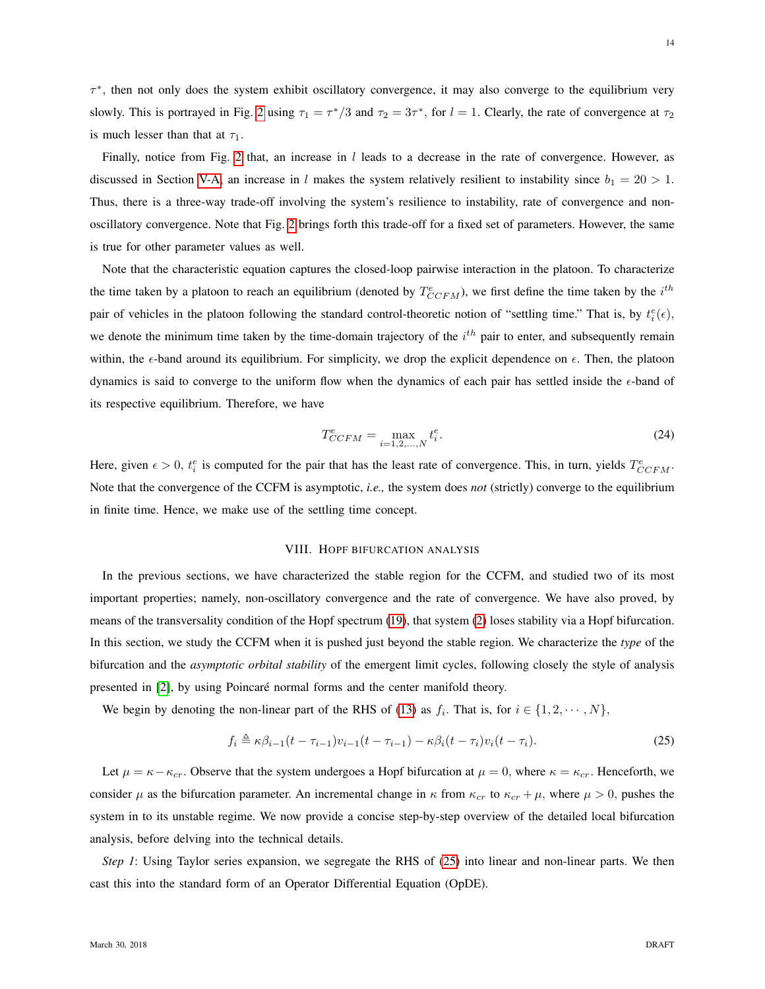τ ∗ , then not only does the system exhibit oscillatory convergence, it may also converge to the equilibrium very slowly. This is portrayed in Fig. [2](#page-12-0) using  $\tau_1 = \tau^*/3$  and  $\tau_2 = 3\tau^*$ , for  $l = 1$ . Clearly, the rate of convergence at  $\tau_2$ is much lesser than that at  $\tau_1$ .

Finally, notice from Fig. [2](#page-12-0) that, an increase in  $l$  leads to a decrease in the rate of convergence. However, as discussed in Section [V-A,](#page-7-4) an increase in l makes the system relatively resilient to instability since  $b_1 = 20 > 1$ . Thus, there is a three-way trade-off involving the system's resilience to instability, rate of convergence and nonoscillatory convergence. Note that Fig. [2](#page-12-0) brings forth this trade-off for a fixed set of parameters. However, the same is true for other parameter values as well.

Note that the characteristic equation captures the closed-loop pairwise interaction in the platoon. To characterize the time taken by a platoon to reach an equilibrium (denoted by  $T_{CCFM}^e$ ), we first define the time taken by the  $i^{th}$ pair of vehicles in the platoon following the standard control-theoretic notion of "settling time." That is, by  $t_i^e(\epsilon)$ , we denote the minimum time taken by the time-domain trajectory of the  $i<sup>th</sup>$  pair to enter, and subsequently remain within, the  $\epsilon$ -band around its equilibrium. For simplicity, we drop the explicit dependence on  $\epsilon$ . Then, the platoon dynamics is said to converge to the uniform flow when the dynamics of each pair has settled inside the  $\epsilon$ -band of its respective equilibrium. Therefore, we have

$$
T_{CCFM}^e = \max_{i=1,2,\dots,N} t_i^e.
$$
 (24)

Here, given  $\epsilon > 0$ ,  $t_i^e$  is computed for the pair that has the least rate of convergence. This, in turn, yields  $T_{CCFM}^e$ . Note that the convergence of the CCFM is asymptotic, *i.e.,* the system does *not* (strictly) converge to the equilibrium in finite time. Hence, we make use of the settling time concept.

# <span id="page-13-1"></span>VIII. HOPF BIFURCATION ANALYSIS

<span id="page-13-0"></span>In the previous sections, we have characterized the stable region for the CCFM, and studied two of its most important properties; namely, non-oscillatory convergence and the rate of convergence. We have also proved, by means of the transversality condition of the Hopf spectrum [\(19\)](#page-8-3), that system [\(2\)](#page-4-2) loses stability via a Hopf bifurcation. In this section, we study the CCFM when it is pushed just beyond the stable region. We characterize the *type* of the bifurcation and the *asymptotic orbital stability* of the emergent limit cycles, following closely the style of analysis presented in [\[2\]](#page-24-21), by using Poincare normal forms and the center manifold theory. ´

We begin by denoting the non-linear part of the RHS of [\(13\)](#page-7-3) as  $f_i$ . That is, for  $i \in \{1, 2, \dots, N\}$ ,

$$
f_i \triangleq \kappa \beta_{i-1} (t - \tau_{i-1}) v_{i-1} (t - \tau_{i-1}) - \kappa \beta_i (t - \tau_i) v_i (t - \tau_i). \tag{25}
$$

Let  $\mu = \kappa - \kappa_{cr}$ . Observe that the system undergoes a Hopf bifurcation at  $\mu = 0$ , where  $\kappa = \kappa_{cr}$ . Henceforth, we consider  $\mu$  as the bifurcation parameter. An incremental change in  $\kappa$  from  $\kappa_{cr}$  to  $\kappa_{cr} + \mu$ , where  $\mu > 0$ , pushes the system in to its unstable regime. We now provide a concise step-by-step overview of the detailed local bifurcation analysis, before delving into the technical details.

*Step 1*: Using Taylor series expansion, we segregate the RHS of [\(25\)](#page-13-1) into linear and non-linear parts. We then cast this into the standard form of an Operator Differential Equation (OpDE).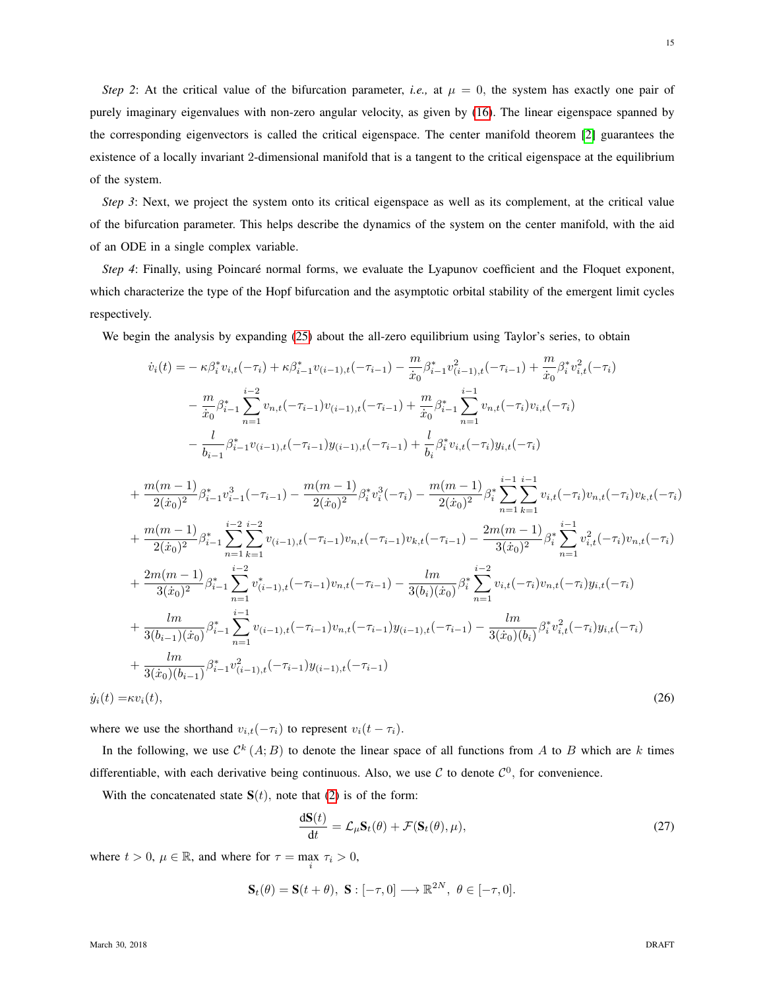*Step 2*: At the critical value of the bifurcation parameter, *i.e.*, at  $\mu = 0$ , the system has exactly one pair of purely imaginary eigenvalues with non-zero angular velocity, as given by [\(16\)](#page-8-4). The linear eigenspace spanned by the corresponding eigenvectors is called the critical eigenspace. The center manifold theorem [\[2\]](#page-24-21) guarantees the existence of a locally invariant 2-dimensional manifold that is a tangent to the critical eigenspace at the equilibrium of the system.

*Step 3*: Next, we project the system onto its critical eigenspace as well as its complement, at the critical value of the bifurcation parameter. This helps describe the dynamics of the system on the center manifold, with the aid of an ODE in a single complex variable.

*Step 4*: Finally, using Poincaré normal forms, we evaluate the Lyapunov coefficient and the Floquet exponent, which characterize the type of the Hopf bifurcation and the asymptotic orbital stability of the emergent limit cycles respectively.

We begin the analysis by expanding [\(25\)](#page-13-1) about the all-zero equilibrium using Taylor's series, to obtain

$$
\begin{split}\n\dot{v}_{i}(t) &= -\kappa \beta_{i}^{*} v_{i,t}(-\tau_{i}) + \kappa \beta_{i-1}^{*} v_{(i-1),t}(-\tau_{i-1}) - \frac{m}{\dot{x}_{0}} \beta_{i-1}^{*} v_{(i-1),t}^{2}(-\tau_{i-1}) + \frac{m}{\dot{x}_{0}} \beta_{i}^{*} v_{i,t}^{2}(-\tau_{i}) \\
&- \frac{m}{\dot{x}_{0}} \beta_{i-1}^{*} \sum_{n=1}^{i-2} v_{n,t}(-\tau_{i-1}) v_{(i-1),t}(-\tau_{i-1}) + \frac{m}{\dot{x}_{0}} \beta_{i-1}^{*} \sum_{n=1}^{i-1} v_{n,t}(-\tau_{i}) v_{i,t}(-\tau_{i}) \\
&- \frac{l}{\dot{b}_{i-1}} \beta_{i-1}^{*} v_{(i-1),t}(-\tau_{i-1}) y_{(i-1),t}(-\tau_{i-1}) + \frac{l}{\dot{b}_{i}} \beta_{i}^{*} v_{i,t}(-\tau_{i}) y_{i,t}(-\tau_{i}) \\
&+ \frac{m(m-1)}{2(\dot{x}_{0})^{2}} \beta_{i-1}^{*} v_{i-1}^{3}(-\tau_{i-1}) - \frac{m(m-1)}{2(\dot{x}_{0})^{2}} \beta_{i}^{*} v_{i}^{3}(-\tau_{i}) - \frac{m(m-1)}{2(\dot{x}_{0})^{2}} \beta_{i}^{*} \sum_{n=1}^{i-1} v_{i,t}(-\tau_{i}) v_{n,t}(-\tau_{i}) v_{k,t}(-\tau_{i}) \\
&+ \frac{m(m-1)}{2(\dot{x}_{0})^{2}} \beta_{i-1}^{*} \sum_{n=1}^{i-2} \sum_{k=1}^{i} v_{(i-1),t}(-\tau_{i-1}) v_{n,t}(-\tau_{i-1}) - \frac{lm}{3(\dot{x}_{0})^{2}} \beta_{i}^{*} \sum_{n=1}^{i-1} v_{i,t}^{2}(-\tau_{i}) v_{n,t}(-\tau_{i}) \\
&+ \frac{2m(m-1)}{3(\dot{x}_{0})^{2}} \beta_{i-1}^{*} \sum_{n=1}^{i-2} v_{(i-1),t}^{*}(-\tau_{i-1}) v_{n,t}(-\tau_{i-
$$

where we use the shorthand  $v_{i,t}(-\tau_i)$  to represent  $v_i(t - \tau_i)$ .

In the following, we use  $\mathcal{C}^k(A;B)$  to denote the linear space of all functions from A to B which are k times differentiable, with each derivative being continuous. Also, we use  $\mathcal C$  to denote  $\mathcal C^0$ , for convenience.

With the concatenated state  $S(t)$ , note that [\(2\)](#page-4-2) is of the form:

<span id="page-14-1"></span><span id="page-14-0"></span>
$$
\frac{d\mathbf{S}(t)}{dt} = \mathcal{L}_{\mu}\mathbf{S}_t(\theta) + \mathcal{F}(\mathbf{S}_t(\theta), \mu),
$$
\n(27)

where  $t > 0$ ,  $\mu \in \mathbb{R}$ , and where for  $\tau = \max_i \tau_i > 0$ ,

$$
\mathbf{S}_t(\theta) = \mathbf{S}(t + \theta), \ \mathbf{S} : [-\tau, 0] \longrightarrow \mathbb{R}^{2N}, \ \theta \in [-\tau, 0].
$$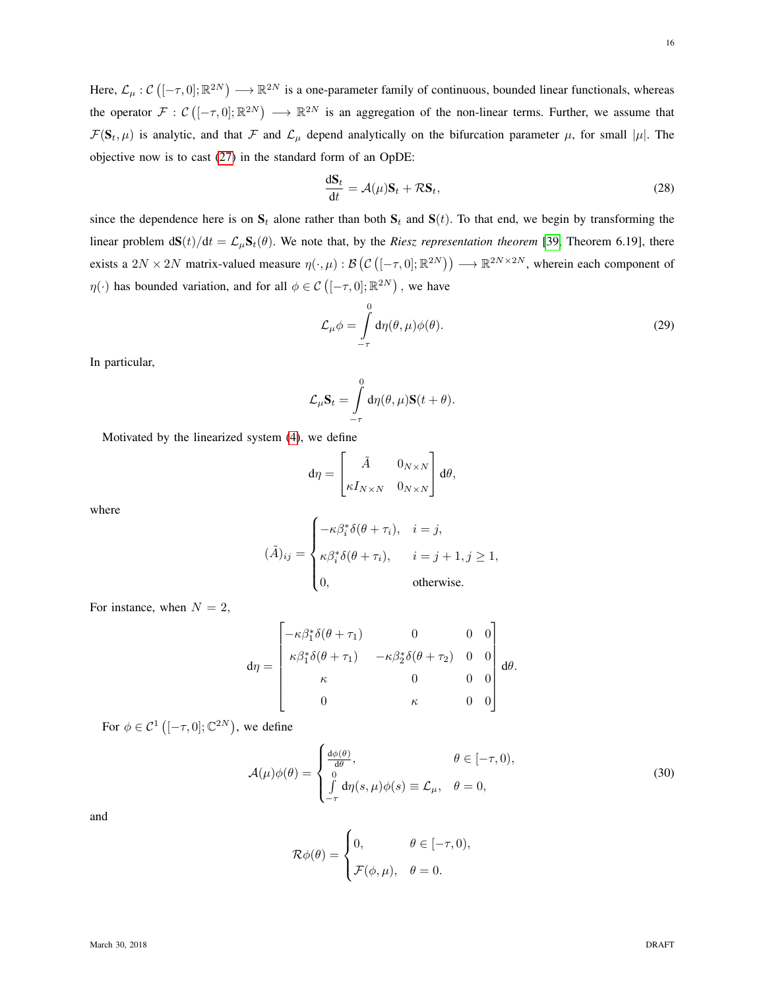Here,  $\mathcal{L}_{\mu} : \mathcal{C}([-\tau,0];\mathbb{R}^{2N}) \longrightarrow \mathbb{R}^{2N}$  is a one-parameter family of continuous, bounded linear functionals, whereas the operator  $\mathcal{F}: \mathcal{C}([-\tau,0];\mathbb{R}^{2N}) \longrightarrow \mathbb{R}^{2N}$  is an aggregation of the non-linear terms. Further, we assume that  $\mathcal{F}(\mathbf{S}_t, \mu)$  is analytic, and that  $\mathcal F$  and  $\mathcal L_\mu$  depend analytically on the bifurcation parameter  $\mu$ , for small  $|\mu|$ . The objective now is to cast [\(27\)](#page-14-0) in the standard form of an OpDE:

<span id="page-15-0"></span>
$$
\frac{\mathrm{d} \mathbf{S}_t}{\mathrm{d} t} = \mathcal{A}(\mu) \mathbf{S}_t + \mathcal{R} \mathbf{S}_t,\tag{28}
$$

since the dependence here is on  $S_t$  alone rather than both  $S_t$  and  $S(t)$ . To that end, we begin by transforming the linear problem  $d\mathbf{S}(t)/dt = \mathcal{L}_{\mu}\mathbf{S}_t(\theta)$ . We note that, by the *Riesz representation theorem* [\[39,](#page-25-15) Theorem 6.19], there exists a  $2N \times 2N$  matrix-valued measure  $\eta(\cdot,\mu): \mathcal{B}(\mathcal{C}([-\tau,0];\mathbb{R}^{2N})) \longrightarrow \mathbb{R}^{2N \times 2N}$ , wherein each component of  $\eta(\cdot)$  has bounded variation, and for all  $\phi \in \mathcal{C}([-\tau,0];\mathbb{R}^{2N})$ , we have

$$
\mathcal{L}_{\mu}\phi = \int_{-\tau}^{0} d\eta(\theta, \mu)\phi(\theta). \tag{29}
$$

In particular,

$$
\mathcal{L}_{\mu} \mathbf{S}_{t} = \int_{-\tau}^{0} d\eta(\theta, \mu) \mathbf{S}(t + \theta).
$$

Motivated by the linearized system [\(4\)](#page-5-2), we define

$$
d\eta = \begin{bmatrix} \tilde{A} & 0_{N \times N} \\ \kappa I_{N \times N} & 0_{N \times N} \end{bmatrix} d\theta,
$$

where

$$
(\tilde{A})_{ij} = \begin{cases} -\kappa \beta_i^* \delta(\theta + \tau_i), & i = j, \\ \kappa \beta_i^* \delta(\theta + \tau_i), & i = j + 1, j \ge 1, \\ 0, & \text{otherwise.} \end{cases}
$$

For instance, when  $N = 2$ ,

$$
d\eta = \begin{bmatrix} -\kappa \beta_1^* \delta(\theta + \tau_1) & 0 & 0 & 0 \\ \kappa \beta_1^* \delta(\theta + \tau_1) & -\kappa \beta_2^* \delta(\theta + \tau_2) & 0 & 0 \\ \kappa & 0 & 0 & 0 \\ 0 & \kappa & 0 & 0 \end{bmatrix} d\theta.
$$

For  $\phi \in \mathcal{C}^1$   $\left( [-\tau, 0]; \mathbb{C}^{2N} \right)$ , we define

$$
\mathcal{A}(\mu)\phi(\theta) = \begin{cases} \frac{d\phi(\theta)}{d\theta}, & \theta \in [-\tau, 0), \\ 0 & \int_{-\tau}^{0} d\eta(s, \mu)\phi(s) \equiv \mathcal{L}_{\mu}, & \theta = 0, \end{cases}
$$
(30)

and

<span id="page-15-1"></span>
$$
\mathcal{R}\phi(\theta) = \begin{cases} 0, & \theta \in [-\tau, 0), \\ \mathcal{F}(\phi, \mu), & \theta = 0. \end{cases}
$$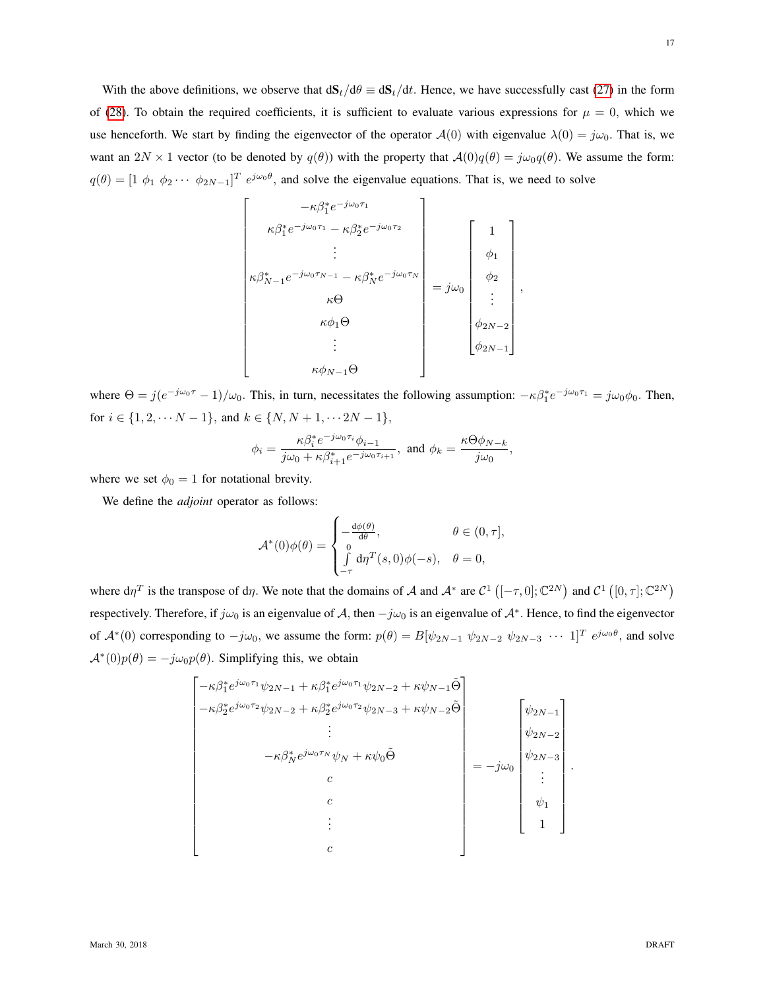With the above definitions, we observe that  $dS_t/d\theta \equiv dS_t/dt$ . Hence, we have successfully cast [\(27\)](#page-14-0) in the form of [\(28\)](#page-15-0). To obtain the required coefficients, it is sufficient to evaluate various expressions for  $\mu = 0$ , which we use henceforth. We start by finding the eigenvector of the operator  $A(0)$  with eigenvalue  $\lambda(0) = j\omega_0$ . That is, we want an  $2N \times 1$  vector (to be denoted by  $q(\theta)$ ) with the property that  $\mathcal{A}(0)q(\theta) = j\omega_0q(\theta)$ . We assume the form:  $q(\theta) = [1 \phi_1 \phi_2 \cdots \phi_{2N-1}]^T e^{j\omega_0 \theta}$ , and solve the eigenvalue equations. That is, we need to solve

$$
\begin{bmatrix}\n-\kappa \beta_1^* e^{-j\omega_0 \tau_1} \\
\kappa \beta_1^* e^{-j\omega_0 \tau_1} - \kappa \beta_2^* e^{-j\omega_0 \tau_2} \\
\vdots \\
\kappa \beta_{N-1}^* e^{-j\omega_0 \tau_{N-1}} - \kappa \beta_N^* e^{-j\omega_0 \tau_N} \\
\kappa \Theta \\
\kappa \phi_1 \Theta \\
\vdots \\
\kappa \phi_{N-1} \Theta\n\end{bmatrix} = j\omega_0 \begin{bmatrix}\n1 \\
\phi_1 \\
\phi_2 \\
\vdots \\
\phi_{2N-2} \\
\phi_{2N-1}\n\end{bmatrix},
$$

where  $\Theta = j(e^{-j\omega_0 \tau} - 1)/\omega_0$ . This, in turn, necessitates the following assumption:  $-\kappa \beta_1^* e^{-j\omega_0 \tau_1} = j\omega_0 \phi_0$ . Then, for  $i \in \{1, 2, \cdots N - 1\}$ , and  $k \in \{N, N + 1, \cdots 2N - 1\}$ ,

$$
\phi_i=\frac{\kappa\beta_i^*e^{-j\omega_0\tau_i}\phi_{i-1}}{j\omega_0+\kappa\beta_{i+1}^*e^{-j\omega_0\tau_{i+1}}},\ \text{and}\ \phi_k=\frac{\kappa\Theta\phi_{N-k}}{j\omega_0},
$$

where we set  $\phi_0 = 1$  for notational brevity.

We define the *adjoint* operator as follows:

$$
\mathcal{A}^*(0)\phi(\theta) = \begin{cases} -\frac{d\phi(\theta)}{d\theta}, & \theta \in (0, \tau], \\ 0 & \text{if } d\eta^T(s, 0)\phi(-s), & \theta = 0, \\ -\tau & \text{otherwise} \end{cases}
$$

where  $d\eta^T$  is the transpose of  $d\eta$ . We note that the domains of A and  $\mathcal{A}^*$  are  $\mathcal{C}^1$  ( $[-\tau, 0]$ ;  $\mathbb{C}^{2N}$ ) and  $\mathcal{C}^1$  ( $[0, \tau]$ ;  $\mathbb{C}^{2N}$ ) respectively. Therefore, if  $j\omega_0$  is an eigenvalue of A, then  $-j\omega_0$  is an eigenvalue of  $\mathcal{A}^*$ . Hence, to find the eigenvector of  $\mathcal{A}^*(0)$  corresponding to  $-j\omega_0$ , we assume the form:  $p(\theta) = B[\psi_{2N-1} \psi_{2N-2} \psi_{2N-3} \cdots 1]^T e^{j\omega_0 \theta}$ , and solve  $A^*(0)p(\theta) = -j\omega_0p(\theta)$ . Simplifying this, we obtain

$$
\begin{bmatrix}\n-\kappa \beta_1^* e^{j\omega_0 \tau_1} \psi_{2N-1} + \kappa \beta_1^* e^{j\omega_0 \tau_1} \psi_{2N-2} + \kappa \psi_{N-1} \tilde{\Theta} \\
-\kappa \beta_2^* e^{j\omega_0 \tau_2} \psi_{2N-2} + \kappa \beta_2^* e^{j\omega_0 \tau_2} \psi_{2N-3} + \kappa \psi_{N-2} \tilde{\Theta} \\
\vdots \\
-\kappa \beta_N^* e^{j\omega_0 \tau_N} \psi_N + \kappa \psi_0 \tilde{\Theta} \\
c \\
c \\
\vdots \\
c\n\end{bmatrix}\n\begin{bmatrix}\n\psi_{2N-1} \\
\psi_{2N-2} \\
\psi_{2N-3} \\
\vdots \\
\psi_1 \\
1\n\end{bmatrix}.
$$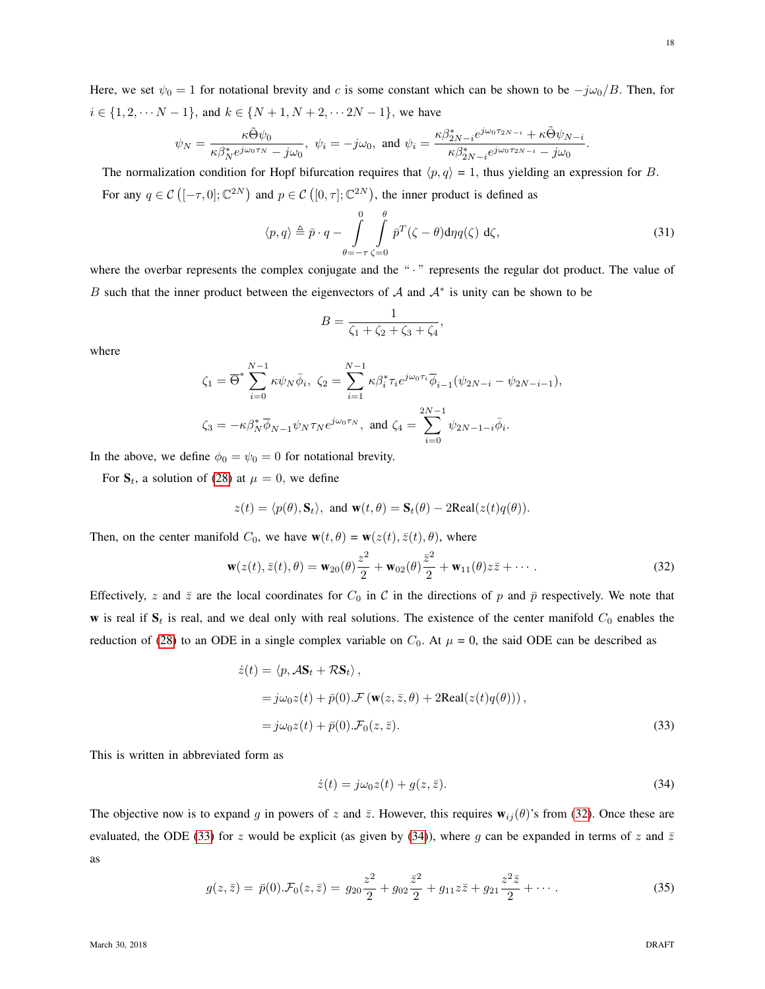Here, we set  $\psi_0 = 1$  for notational brevity and c is some constant which can be shown to be  $-j\omega_0/B$ . Then, for  $i \in \{1, 2, \cdots N - 1\}$ , and  $k \in \{N + 1, N + 2, \cdots 2N - 1\}$ , we have

$$
\psi_N = \frac{\kappa \tilde{\Theta} \psi_0}{\kappa \beta_N^* e^{j\omega_0 \tau_N} - j\omega_0}, \ \psi_i = -j\omega_0, \text{ and } \psi_i = \frac{\kappa \beta_{2N-i}^* e^{j\omega_0 \tau_{2N-i}} + \kappa \tilde{\Theta} \psi_{N-i}}{\kappa \beta_{2N-i}^* e^{j\omega_0 \tau_{2N-i}} - j\omega_0}
$$

The normalization condition for Hopf bifurcation requires that  $\langle p, q \rangle = 1$ , thus yielding an expression for B. For any  $q \in \mathcal{C}([-\tau,0];\mathbb{C}^{2N})$  and  $p \in \mathcal{C}([0,\tau];\mathbb{C}^{2N})$ , the inner product is defined as

$$
\langle p, q \rangle \triangleq \bar{p} \cdot q - \int_{\theta=-\tau}^{0} \int_{\zeta=0}^{\theta} \bar{p}^{T} (\zeta - \theta) \mathrm{d}\eta q(\zeta) \, \mathrm{d}\zeta, \tag{31}
$$

where the overbar represents the complex conjugate and the " · " represents the regular dot product. The value of B such that the inner product between the eigenvectors of A and  $A^*$  is unity can be shown to be

<span id="page-17-0"></span>
$$
B = \frac{1}{\zeta_1 + \zeta_2 + \zeta_3 + \zeta_4},
$$

where

$$
\zeta_1 = \overline{\Theta}^* \sum_{i=0}^{N-1} \kappa \psi_N \bar{\phi}_i, \ \zeta_2 = \sum_{i=1}^{N-1} \kappa \beta_i^* \tau_i e^{j\omega_0 \tau_i} \bar{\phi}_{i-1} (\psi_{2N-i} - \psi_{2N-i-1}),
$$
  

$$
\zeta_3 = -\kappa \beta_N^* \bar{\phi}_{N-1} \psi_N \tau_N e^{j\omega_0 \tau_N}, \text{ and } \zeta_4 = \sum_{i=0}^{2N-1} \psi_{2N-1-i} \bar{\phi}_i.
$$

In the above, we define  $\phi_0 = \psi_0 = 0$  for notational brevity.

For  $S_t$ , a solution of [\(28\)](#page-15-0) at  $\mu = 0$ , we define

$$
z(t) = \langle p(\theta), \mathbf{S}_t \rangle, \text{ and } \mathbf{w}(t, \theta) = \mathbf{S}_t(\theta) - 2\text{Real}(z(t)q(\theta)).
$$

Then, on the center manifold  $C_0$ , we have  $\mathbf{w}(t, \theta) = \mathbf{w}(z(t), \bar{z}(t), \theta)$ , where

$$
\mathbf{w}(z(t),\bar{z}(t),\theta) = \mathbf{w}_{20}(\theta)\frac{z^2}{2} + \mathbf{w}_{02}(\theta)\frac{\bar{z}^2}{2} + \mathbf{w}_{11}(\theta)z\bar{z} + \cdots
$$
 (32)

Effectively, z and  $\bar{z}$  are the local coordinates for  $C_0$  in C in the directions of p and  $\bar{p}$  respectively. We note that w is real if  $S_t$  is real, and we deal only with real solutions. The existence of the center manifold  $C_0$  enables the reduction of [\(28\)](#page-15-0) to an ODE in a single complex variable on  $C_0$ . At  $\mu = 0$ , the said ODE can be described as

$$
\begin{aligned} \dot{z}(t) &= \langle p, \mathcal{A}\mathbf{S}_t + \mathcal{R}\mathbf{S}_t \rangle \,, \\ &= j\omega_0 z(t) + \bar{p}(0) \cdot \mathcal{F}\left(\mathbf{w}(z,\bar{z},\theta) + 2\text{Real}(z(t)q(\theta))\right), \\ &= j\omega_0 z(t) + \bar{p}(0) \cdot \mathcal{F}_0(z,\bar{z}). \end{aligned} \tag{33}
$$

This is written in abbreviated form as

<span id="page-17-3"></span><span id="page-17-2"></span><span id="page-17-1"></span>
$$
\dot{z}(t) = j\omega_0 z(t) + g(z, \bar{z}).\tag{34}
$$

The objective now is to expand g in powers of z and  $\bar{z}$ . However, this requires  $w_{ij}(\theta)$ 's from [\(32\)](#page-17-0). Once these are evaluated, the ODE [\(33\)](#page-17-1) for z would be explicit (as given by [\(34\)](#page-17-2)), where g can be expanded in terms of z and  $\bar{z}$ as

$$
g(z,\bar{z}) = \bar{p}(0).\mathcal{F}_0(z,\bar{z}) = g_{20}\frac{z^2}{2} + g_{02}\frac{\bar{z}^2}{2} + g_{11}z\bar{z} + g_{21}\frac{z^2\bar{z}}{2} + \cdots
$$
 (35)

.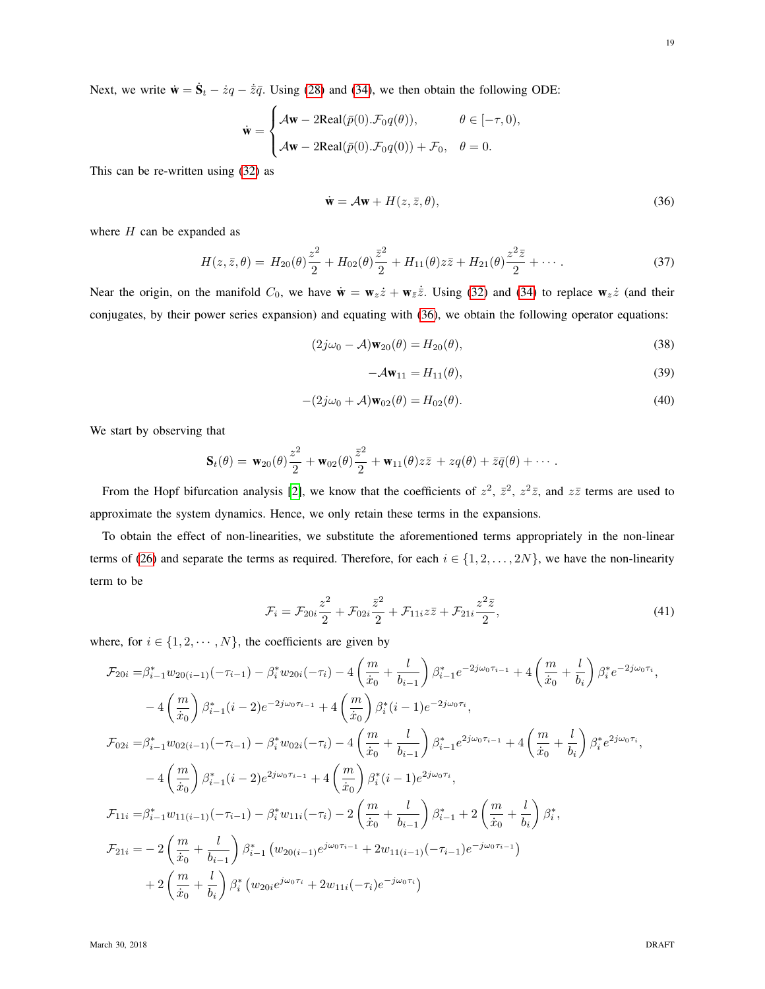Next, we write  $\dot{\mathbf{w}} = \dot{\mathbf{S}}_t - \dot{z}q - \dot{\overline{z}}\overline{q}$ . Using [\(28\)](#page-15-0) and [\(34\)](#page-17-2), we then obtain the following ODE:

$$
\dot{\mathbf{w}} = \begin{cases} \mathcal{A}\mathbf{w} - 2\text{Real}(\bar{p}(0).\mathcal{F}_0 q(\theta)), & \theta \in [-\tau, 0), \\ \mathcal{A}\mathbf{w} - 2\text{Real}(\bar{p}(0).\mathcal{F}_0 q(0)) + \mathcal{F}_0, & \theta = 0. \end{cases}
$$

This can be re-written using [\(32\)](#page-17-0) as

<span id="page-18-0"></span>
$$
\dot{\mathbf{w}} = \mathcal{A}\mathbf{w} + H(z, \bar{z}, \theta),\tag{36}
$$

where  $H$  can be expanded as

$$
H(z,\bar{z},\theta) = H_{20}(\theta)\frac{z^2}{2} + H_{02}(\theta)\frac{\bar{z}^2}{2} + H_{11}(\theta)z\bar{z} + H_{21}(\theta)\frac{z^2\bar{z}}{2} + \cdots
$$
 (37)

Near the origin, on the manifold  $C_0$ , we have  $\dot{\mathbf{w}} = \mathbf{w}_z \dot{z} + \mathbf{w}_z \dot{z}$ . Using [\(32\)](#page-17-0) and [\(34\)](#page-17-2) to replace  $\mathbf{w}_z \dot{z}$  (and their conjugates, by their power series expansion) and equating with [\(36\)](#page-18-0), we obtain the following operator equations:

$$
(2j\omega_0 - \mathcal{A})\mathbf{w}_{20}(\theta) = H_{20}(\theta),\tag{38}
$$

<span id="page-18-4"></span><span id="page-18-3"></span><span id="page-18-2"></span><span id="page-18-1"></span>
$$
-\mathcal{A}\mathbf{w}_{11} = H_{11}(\theta),\tag{39}
$$

$$
-(2j\omega_0 + \mathcal{A})\mathbf{w}_{02}(\theta) = H_{02}(\theta). \tag{40}
$$

We start by observing that

$$
\mathbf{S}_t(\theta) = \mathbf{w}_{20}(\theta) \frac{z^2}{2} + \mathbf{w}_{02}(\theta) \frac{\overline{z}^2}{2} + \mathbf{w}_{11}(\theta) z \overline{z} + zq(\theta) + \overline{z} \overline{q}(\theta) + \cdots
$$

From the Hopf bifurcation analysis [\[2\]](#page-24-21), we know that the coefficients of  $z^2$ ,  $\bar{z}^2$ ,  $z^2\bar{z}$ , and  $z\bar{z}$  terms are used to approximate the system dynamics. Hence, we only retain these terms in the expansions.

To obtain the effect of non-linearities, we substitute the aforementioned terms appropriately in the non-linear terms of [\(26\)](#page-14-1) and separate the terms as required. Therefore, for each  $i \in \{1, 2, ..., 2N\}$ , we have the non-linearity term to be

$$
\mathcal{F}_{i} = \mathcal{F}_{20i} \frac{z^2}{2} + \mathcal{F}_{02i} \frac{\bar{z}^2}{2} + \mathcal{F}_{11i} z \bar{z} + \mathcal{F}_{21i} \frac{z^2 \bar{z}}{2},\tag{41}
$$

where, for  $i \in \{1, 2, \dots, N\}$ , the coefficients are given by

$$
\mathcal{F}_{20i} = \beta_{i-1}^{*} w_{20(i-1)}(-\tau_{i-1}) - \beta_{i}^{*} w_{20i}(-\tau_{i}) - 4\left(\frac{m}{\dot{x}_{0}} + \frac{l}{b_{i-1}}\right) \beta_{i-1}^{*} e^{-2j\omega_{0}\tau_{i-1}} + 4\left(\frac{m}{\dot{x}_{0}} + \frac{l}{b_{i}}\right) \beta_{i}^{*} e^{-2j\omega_{0}\tau_{i}},
$$
\n
$$
-4\left(\frac{m}{\dot{x}_{0}}\right) \beta_{i-1}^{*}(i-2) e^{-2j\omega_{0}\tau_{i-1}} + 4\left(\frac{m}{\dot{x}_{0}}\right) \beta_{i}^{*}(i-1) e^{-2j\omega_{0}\tau_{i}},
$$
\n
$$
\mathcal{F}_{02i} = \beta_{i-1}^{*} w_{02(i-1)}(-\tau_{i-1}) - \beta_{i}^{*} w_{02i}(-\tau_{i}) - 4\left(\frac{m}{\dot{x}_{0}} + \frac{l}{b_{i-1}}\right) \beta_{i-1}^{*} e^{2j\omega_{0}\tau_{i-1}} + 4\left(\frac{m}{\dot{x}_{0}} + \frac{l}{b_{i}}\right) \beta_{i}^{*} e^{2j\omega_{0}\tau_{i}},
$$
\n
$$
-4\left(\frac{m}{\dot{x}_{0}}\right) \beta_{i-1}^{*}(i-2) e^{2j\omega_{0}\tau_{i-1}} + 4\left(\frac{m}{\dot{x}_{0}}\right) \beta_{i}^{*}(i-1) e^{2j\omega_{0}\tau_{i}},
$$
\n
$$
\mathcal{F}_{11i} = \beta_{i-1}^{*} w_{11(i-1)}(-\tau_{i-1}) - \beta_{i}^{*} w_{11i}(-\tau_{i}) - 2\left(\frac{m}{\dot{x}_{0}} + \frac{l}{b_{i-1}}\right) \beta_{i-1}^{*} + 2\left(\frac{m}{\dot{x}_{0}} + \frac{l}{b_{i}}\right) \beta_{i}^{*},
$$
\n
$$
\mathcal{F}_{21i} = -2\left(\frac{m}{\dot{x}_{0}} + \frac{l}{b_{i-1}}\right) \beta_{i-1}^{*} \left(w_{20(i-1)} e^{j\omega_{0}\tau_{i-1
$$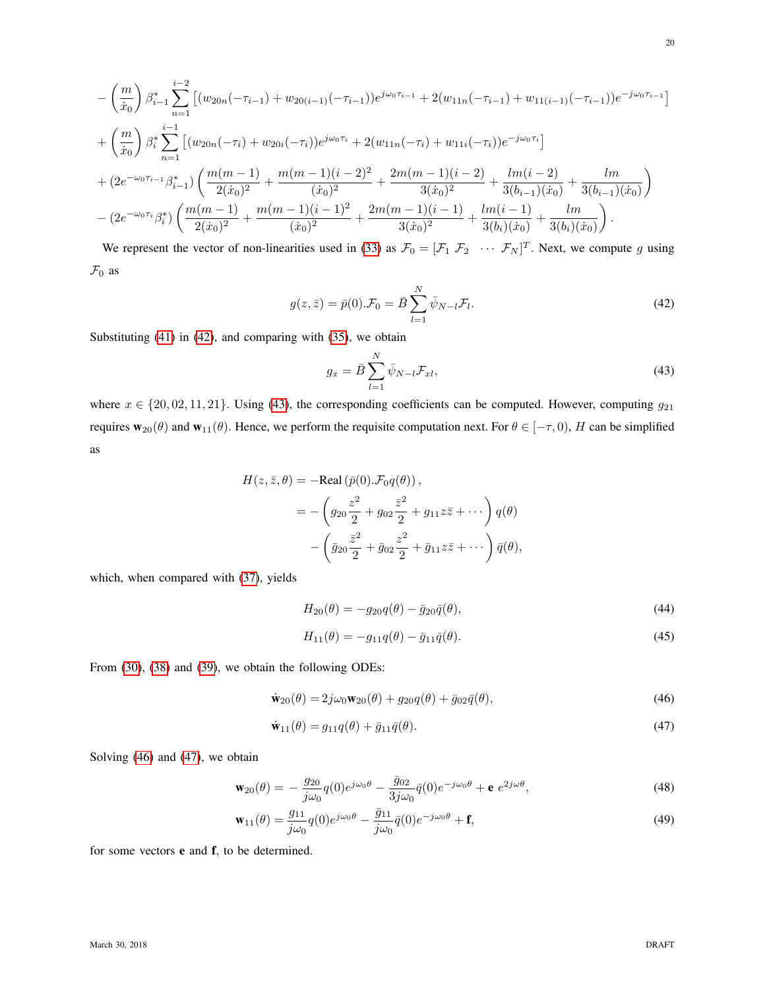$$
-\left(\frac{m}{\dot{x}_0}\right)\beta_{i-1}^* \sum_{n=1}^{i-2} \left[ (w_{20n}(-\tau_{i-1}) + w_{20(i-1)}(-\tau_{i-1}))e^{j\omega_0\tau_{i-1}} + 2(w_{11n}(-\tau_{i-1}) + w_{11(i-1)}(-\tau_{i-1}))e^{-j\omega_0\tau_{i-1}} \right]
$$
  
+
$$
\left(\frac{m}{\dot{x}_0}\right)\beta_i^* \sum_{n=1}^{i-1} \left[ (w_{20n}(-\tau_i) + w_{20i}(-\tau_i))e^{j\omega_0\tau_i} + 2(w_{11n}(-\tau_i) + w_{11i}(-\tau_i))e^{-j\omega_0\tau_i} \right]
$$
  
+
$$
(2e^{-\omega_0\tau_{i-1}}\beta_{i-1}^*) \left( \frac{m(m-1)}{2(\dot{x}_0)^2} + \frac{m(m-1)(i-2)^2}{(\dot{x}_0)^2} + \frac{2m(m-1)(i-2)}{3(\dot{x}_0)^2} + \frac{lm(i-2)}{3(\dot{b}_{i-1})(\dot{x}_0)} + \frac{lm}{3(\dot{b}_{i-1})(\dot{x}_0)} \right)
$$
  
-
$$
(2e^{-\omega_0\tau_i}\beta_i^*) \left( \frac{m(m-1)}{2(\dot{x}_0)^2} + \frac{m(m-1)(i-1)^2}{(\dot{x}_0)^2} + \frac{2m(m-1)(i-1)}{3(\dot{x}_0)^2} + \frac{lm(i-1)}{3(\dot{b}_i)(\dot{x}_0)} + \frac{lm}{3(\dot{b}_i)(\dot{x}_0)} \right).
$$

We represent the vector of non-linearities used in [\(33\)](#page-17-1) as  $\mathcal{F}_0 = [\mathcal{F}_1 \ \mathcal{F}_2 \ \cdots \ \mathcal{F}_N]^T$ . Next, we compute g using  $\mathcal{F}_0$  as

$$
g(z,\bar{z}) = \bar{p}(0).\mathcal{F}_0 = \bar{B} \sum_{l=1}^{N} \bar{\psi}_{N-l} \mathcal{F}_l.
$$
 (42)

Substituting [\(41\)](#page-18-1) in [\(42\)](#page-19-0), and comparing with [\(35\)](#page-17-3), we obtain

<span id="page-19-1"></span><span id="page-19-0"></span>
$$
g_x = \bar{B} \sum_{l=1}^{N} \bar{\psi}_{N-l} \mathcal{F}_{xt}, \qquad (43)
$$

where  $x \in \{20, 02, 11, 21\}$ . Using [\(43\)](#page-19-1), the corresponding coefficients can be computed. However, computing  $g_{21}$ requires  $w_{20}(\theta)$  and  $w_{11}(\theta)$ . Hence, we perform the requisite computation next. For  $\theta \in [-\tau, 0)$ , H can be simplified as

$$
H(z, \bar{z}, \theta) = -\text{Real}(\bar{p}(0). \mathcal{F}_{0}q(\theta)),
$$
  
= 
$$
- \left( g_{20} \frac{z^2}{2} + g_{02} \frac{\bar{z}^2}{2} + g_{11} z \bar{z} + \cdots \right) q(\theta)
$$
  

$$
- \left( \bar{g}_{20} \frac{\bar{z}^2}{2} + \bar{g}_{02} \frac{z^2}{2} + \bar{g}_{11} z \bar{z} + \cdots \right) \bar{q}(\theta),
$$

which, when compared with [\(37\)](#page-18-2), yields

<span id="page-19-5"></span><span id="page-19-4"></span>
$$
H_{20}(\theta) = -g_{20}q(\theta) - \bar{g}_{20}\bar{q}(\theta),
$$
\n(44)

<span id="page-19-7"></span><span id="page-19-6"></span><span id="page-19-3"></span><span id="page-19-2"></span>
$$
H_{11}(\theta) = -g_{11}q(\theta) - \bar{g}_{11}\bar{q}(\theta). \tag{45}
$$

From [\(30\)](#page-15-1), [\(38\)](#page-18-3) and [\(39\)](#page-18-4), we obtain the following ODEs:

$$
\dot{\mathbf{w}}_{20}(\theta) = 2j\omega_0 \mathbf{w}_{20}(\theta) + g_{20}q(\theta) + \bar{g}_{02}\bar{q}(\theta),\tag{46}
$$

$$
\dot{\mathbf{w}}_{11}(\theta) = g_{11}q(\theta) + \bar{g}_{11}\bar{q}(\theta). \tag{47}
$$

Solving [\(46\)](#page-19-2) and [\(47\)](#page-19-3), we obtain

$$
\mathbf{w}_{20}(\theta) = -\frac{g_{20}}{j\omega_0}q(0)e^{j\omega_0\theta} - \frac{\bar{g}_{02}}{3j\omega_0}\bar{q}(0)e^{-j\omega_0\theta} + \mathbf{e} e^{2j\omega\theta},\tag{48}
$$

$$
\mathbf{w}_{11}(\theta) = \frac{g_{11}}{j\omega_0} q(0) e^{j\omega_0 \theta} - \frac{\bar{g}_{11}}{j\omega_0} \bar{q}(0) e^{-j\omega_0 \theta} + \mathbf{f},\tag{49}
$$

for some vectors e and f, to be determined.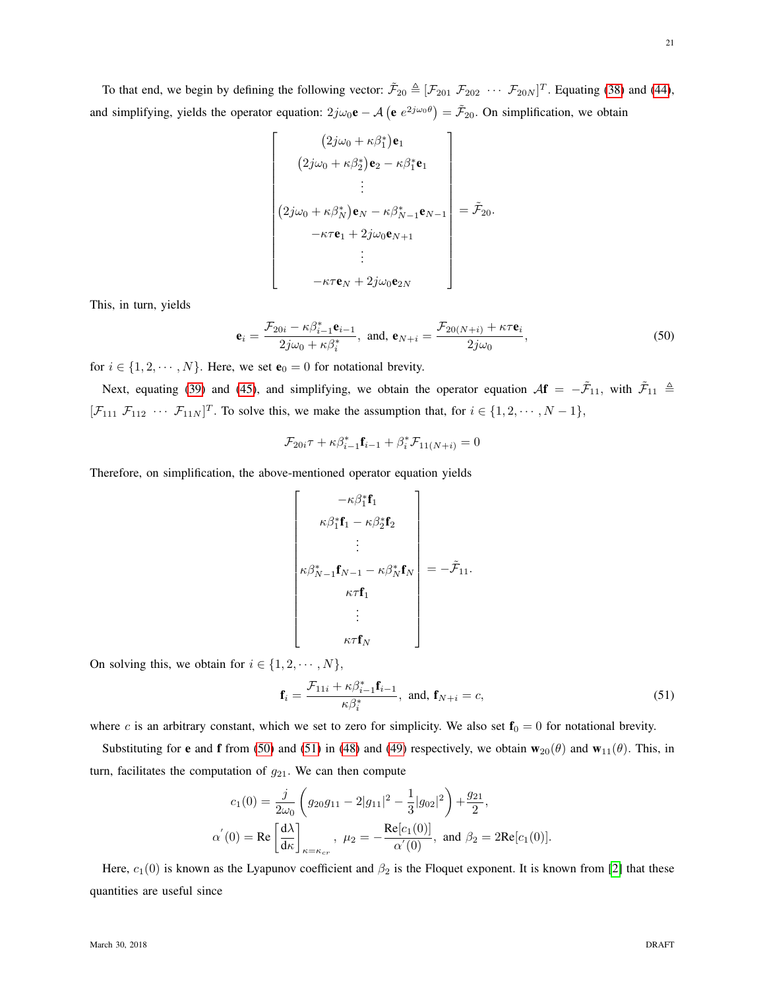To that end, we begin by defining the following vector:  $\tilde{\mathcal{F}}_{20} \triangleq [\mathcal{F}_{201} \ \mathcal{F}_{202} \ \cdots \ \mathcal{F}_{20N}]^T$ . Equating [\(38\)](#page-18-3) and [\(44\)](#page-19-4), and simplifying, yields the operator equation:  $2j\omega_0\mathbf{e} - A\left(\mathbf{e} e^{2j\omega_0\theta}\right) = \tilde{\mathcal{F}}_{20}$ . On simplification, we obtain

$$
\begin{bmatrix}\n(2j\omega_0 + \kappa \beta_1^*)\mathbf{e}_1 \\
(2j\omega_0 + \kappa \beta_2^*)\mathbf{e}_2 - \kappa \beta_1^*\mathbf{e}_1 \\
\vdots \\
(2j\omega_0 + \kappa \beta_N^*)\mathbf{e}_N - \kappa \beta_{N-1}^*\mathbf{e}_{N-1} \\
-\kappa \tau \mathbf{e}_1 + 2j\omega_0 \mathbf{e}_{N+1} \\
\vdots \\
-\kappa \tau \mathbf{e}_N + 2j\omega_0 \mathbf{e}_{2N}\n\end{bmatrix} = \tilde{\mathcal{F}}_{20}.
$$

This, in turn, yields

$$
\mathbf{e}_{i} = \frac{\mathcal{F}_{20i} - \kappa \beta_{i-1}^{*} \mathbf{e}_{i-1}}{2j\omega_0 + \kappa \beta_{i}^{*}}, \text{ and, } \mathbf{e}_{N+i} = \frac{\mathcal{F}_{20(N+i)} + \kappa \tau \mathbf{e}_{i}}{2j\omega_0},
$$
(50)

for  $i \in \{1, 2, \dots, N\}$ . Here, we set  $\mathbf{e}_0 = 0$  for notational brevity.

Next, equating [\(39\)](#page-18-4) and [\(45\)](#page-19-5), and simplifying, we obtain the operator equation  $\mathcal{A}f = -\tilde{\mathcal{F}}_{11}$ , with  $\tilde{\mathcal{F}}_{11} \triangleq$  $[\mathcal{F}_{111} \ \mathcal{F}_{112} \ \cdots \ \mathcal{F}_{11N}]^T$ . To solve this, we make the assumption that, for  $i \in \{1, 2, \cdots, N-1\}$ ,

<span id="page-20-0"></span>
$$
\mathcal{F}_{20i}\tau + \kappa \beta_{i-1}^* \mathbf{f}_{i-1} + \beta_i^* \mathcal{F}_{11(N+i)} = 0
$$

Therefore, on simplification, the above-mentioned operator equation yields

$$
\begin{bmatrix}\n-\kappa \beta_1^* \mathbf{f}_1 \\
\kappa \beta_1^* \mathbf{f}_1 - \kappa \beta_2^* \mathbf{f}_2 \\
\vdots \\
\kappa \beta_{N-1}^* \mathbf{f}_{N-1} - \kappa \beta_N^* \mathbf{f}_N \\
\kappa \tau \mathbf{f}_1 \\
\vdots \\
\kappa \tau \mathbf{f}_N\n\end{bmatrix} = -\tilde{\mathcal{F}}_{11}.
$$

On solving this, we obtain for  $i \in \{1, 2, \dots, N\},\$ 

<span id="page-20-1"></span>
$$
\mathbf{f}_i = \frac{\mathcal{F}_{11i} + \kappa \beta_{i-1}^* \mathbf{f}_{i-1}}{\kappa \beta_i^*}, \text{ and, } \mathbf{f}_{N+i} = c,
$$
\n(51)

where c is an arbitrary constant, which we set to zero for simplicity. We also set  $f_0 = 0$  for notational brevity.

Substituting for e and f from [\(50\)](#page-20-0) and [\(51\)](#page-20-1) in [\(48\)](#page-19-6) and [\(49\)](#page-19-7) respectively, we obtain  $\mathbf{w}_{20}(\theta)$  and  $\mathbf{w}_{11}(\theta)$ . This, in turn, facilitates the computation of  $g_{21}$ . We can then compute

$$
c_1(0) = \frac{j}{2\omega_0} \left( g_{20}g_{11} - 2|g_{11}|^2 - \frac{1}{3}|g_{02}|^2 \right) + \frac{g_{21}}{2},
$$
  
\n
$$
\alpha^{'}(0) = \text{Re}\left[\frac{d\lambda}{d\kappa}\right]_{\kappa = \kappa_{cr}}, \ \mu_2 = -\frac{\text{Re}[c_1(0)]}{\alpha'(0)}, \text{ and } \beta_2 = 2\text{Re}[c_1(0)].
$$

Here,  $c_1(0)$  is known as the Lyapunov coefficient and  $\beta_2$  is the Floquet exponent. It is known from [\[2\]](#page-24-21) that these quantities are useful since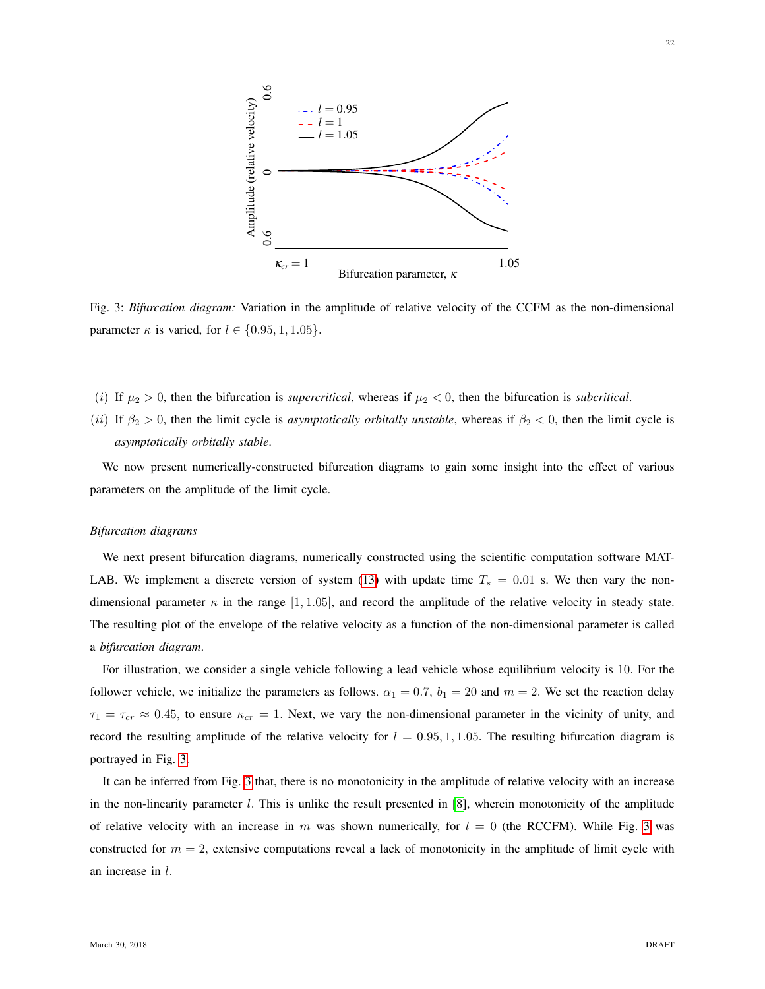<span id="page-21-0"></span>

Fig. 3: *Bifurcation diagram:* Variation in the amplitude of relative velocity of the CCFM as the non-dimensional parameter  $\kappa$  is varied, for  $l \in \{0.95, 1, 1.05\}.$ 

- (i) If  $\mu_2 > 0$ , then the bifurcation is *supercritical*, whereas if  $\mu_2 < 0$ , then the bifurcation is *subcritical*.
- (ii) If  $\beta_2 > 0$ , then the limit cycle is *asymptotically orbitally unstable*, whereas if  $\beta_2 < 0$ , then the limit cycle is *asymptotically orbitally stable*.

We now present numerically-constructed bifurcation diagrams to gain some insight into the effect of various parameters on the amplitude of the limit cycle.

#### *Bifurcation diagrams*

We next present bifurcation diagrams, numerically constructed using the scientific computation software MAT-LAB. We implement a discrete version of system [\(13\)](#page-7-3) with update time  $T_s = 0.01$  s. We then vary the nondimensional parameter  $\kappa$  in the range [1, 1.05], and record the amplitude of the relative velocity in steady state. The resulting plot of the envelope of the relative velocity as a function of the non-dimensional parameter is called a *bifurcation diagram*.

For illustration, we consider a single vehicle following a lead vehicle whose equilibrium velocity is 10. For the follower vehicle, we initialize the parameters as follows.  $\alpha_1 = 0.7$ ,  $b_1 = 20$  and  $m = 2$ . We set the reaction delay  $\tau_1 = \tau_{cr} \approx 0.45$ , to ensure  $\kappa_{cr} = 1$ . Next, we vary the non-dimensional parameter in the vicinity of unity, and record the resulting amplitude of the relative velocity for  $l = 0.95, 1, 1.05$ . The resulting bifurcation diagram is portrayed in Fig. [3.](#page-21-0)

It can be inferred from Fig. [3](#page-21-0) that, there is no monotonicity in the amplitude of relative velocity with an increase in the non-linearity parameter  $l$ . This is unlike the result presented in [\[8\]](#page-24-2), wherein monotonicity of the amplitude of relative velocity with an increase in m was shown numerically, for  $l = 0$  (the RCCFM). While Fig. [3](#page-21-0) was constructed for  $m = 2$ , extensive computations reveal a lack of monotonicity in the amplitude of limit cycle with an increase in l.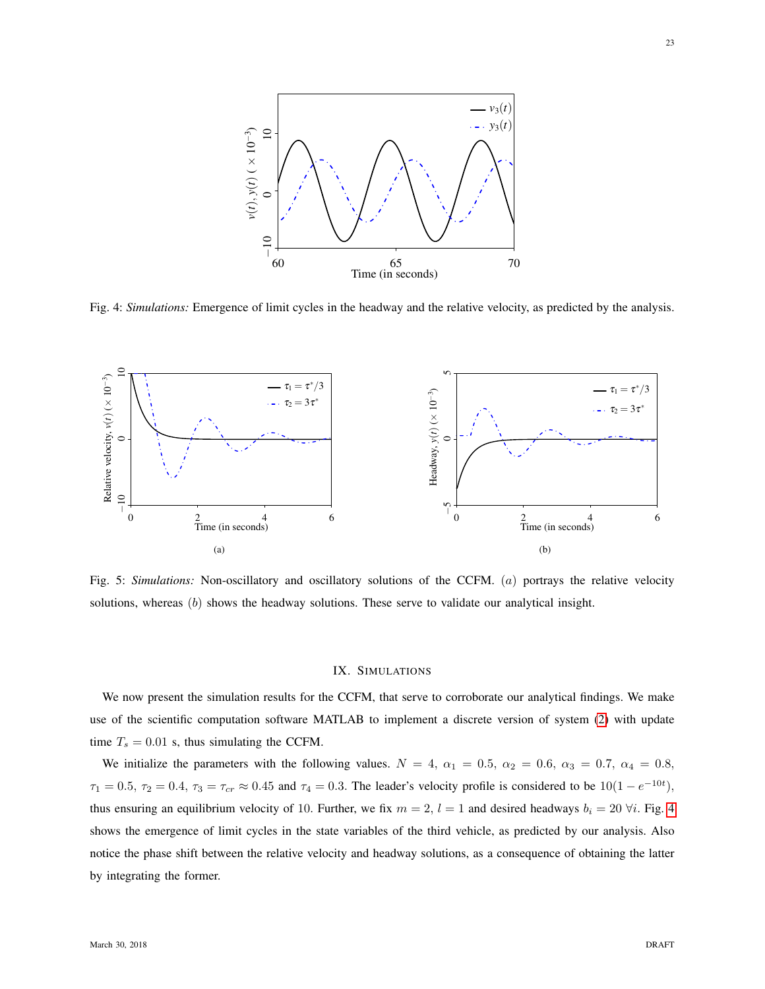<span id="page-22-1"></span>

Fig. 4: *Simulations:* Emergence of limit cycles in the headway and the relative velocity, as predicted by the analysis.

<span id="page-22-2"></span>

Fig. 5: *Simulations:* Non-oscillatory and oscillatory solutions of the CCFM. (a) portrays the relative velocity solutions, whereas  $(b)$  shows the headway solutions. These serve to validate our analytical insight.

#### <span id="page-22-3"></span>IX. SIMULATIONS

<span id="page-22-0"></span>We now present the simulation results for the CCFM, that serve to corroborate our analytical findings. We make use of the scientific computation software MATLAB to implement a discrete version of system [\(2\)](#page-4-2) with update time  $T_s = 0.01$  s, thus simulating the CCFM.

We initialize the parameters with the following values.  $N = 4$ ,  $\alpha_1 = 0.5$ ,  $\alpha_2 = 0.6$ ,  $\alpha_3 = 0.7$ ,  $\alpha_4 = 0.8$ ,  $\tau_1 = 0.5$ ,  $\tau_2 = 0.4$ ,  $\tau_3 = \tau_{cr} \approx 0.45$  and  $\tau_4 = 0.3$ . The leader's velocity profile is considered to be  $10(1 - e^{-10t})$ , thus ensuring an equilibrium velocity of 10. Further, we fix  $m = 2$ ,  $l = 1$  and desired headways  $b_i = 20 \forall i$ . Fig. [4](#page-22-1) shows the emergence of limit cycles in the state variables of the third vehicle, as predicted by our analysis. Also notice the phase shift between the relative velocity and headway solutions, as a consequence of obtaining the latter by integrating the former.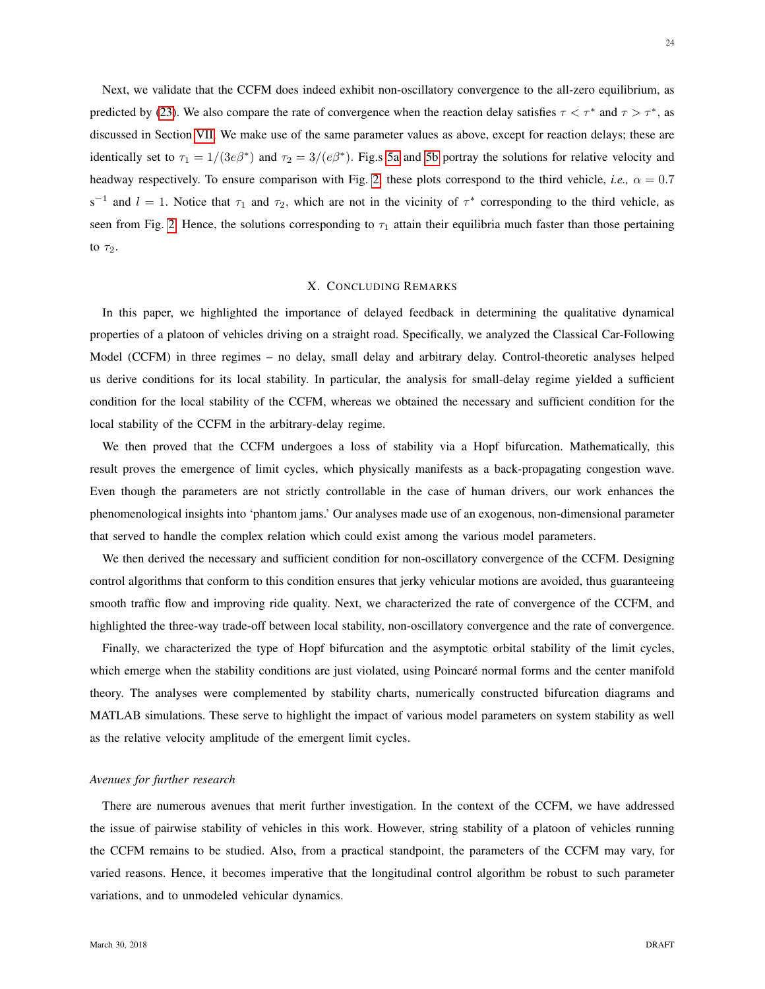Next, we validate that the CCFM does indeed exhibit non-oscillatory convergence to the all-zero equilibrium, as predicted by [\(23\)](#page-11-2). We also compare the rate of convergence when the reaction delay satisfies  $\tau < \tau^*$  and  $\tau > \tau^*$ , as discussed in Section [VII.](#page-11-0) We make use of the same parameter values as above, except for reaction delays; these are identically set to  $\tau_1 = 1/(3e\beta^*)$  and  $\tau_2 = 3/(e\beta^*)$ . Fig.s [5a](#page-22-2) and [5b](#page-22-3) portray the solutions for relative velocity and headway respectively. To ensure comparison with Fig. [2,](#page-12-0) these plots correspond to the third vehicle, *i.e.*,  $\alpha = 0.7$ s<sup>-1</sup> and  $l = 1$ . Notice that  $\tau_1$  and  $\tau_2$ , which are not in the vicinity of  $\tau^*$  corresponding to the third vehicle, as seen from Fig. [2.](#page-12-0) Hence, the solutions corresponding to  $\tau_1$  attain their equilibria much faster than those pertaining to  $\tau_2$ .

# X. CONCLUDING REMARKS

<span id="page-23-0"></span>In this paper, we highlighted the importance of delayed feedback in determining the qualitative dynamical properties of a platoon of vehicles driving on a straight road. Specifically, we analyzed the Classical Car-Following Model (CCFM) in three regimes – no delay, small delay and arbitrary delay. Control-theoretic analyses helped us derive conditions for its local stability. In particular, the analysis for small-delay regime yielded a sufficient condition for the local stability of the CCFM, whereas we obtained the necessary and sufficient condition for the local stability of the CCFM in the arbitrary-delay regime.

We then proved that the CCFM undergoes a loss of stability via a Hopf bifurcation. Mathematically, this result proves the emergence of limit cycles, which physically manifests as a back-propagating congestion wave. Even though the parameters are not strictly controllable in the case of human drivers, our work enhances the phenomenological insights into 'phantom jams.' Our analyses made use of an exogenous, non-dimensional parameter that served to handle the complex relation which could exist among the various model parameters.

We then derived the necessary and sufficient condition for non-oscillatory convergence of the CCFM. Designing control algorithms that conform to this condition ensures that jerky vehicular motions are avoided, thus guaranteeing smooth traffic flow and improving ride quality. Next, we characterized the rate of convergence of the CCFM, and highlighted the three-way trade-off between local stability, non-oscillatory convergence and the rate of convergence.

Finally, we characterized the type of Hopf bifurcation and the asymptotic orbital stability of the limit cycles, which emerge when the stability conditions are just violated, using Poincaré normal forms and the center manifold theory. The analyses were complemented by stability charts, numerically constructed bifurcation diagrams and MATLAB simulations. These serve to highlight the impact of various model parameters on system stability as well as the relative velocity amplitude of the emergent limit cycles.

### *Avenues for further research*

There are numerous avenues that merit further investigation. In the context of the CCFM, we have addressed the issue of pairwise stability of vehicles in this work. However, string stability of a platoon of vehicles running the CCFM remains to be studied. Also, from a practical standpoint, the parameters of the CCFM may vary, for varied reasons. Hence, it becomes imperative that the longitudinal control algorithm be robust to such parameter variations, and to unmodeled vehicular dynamics.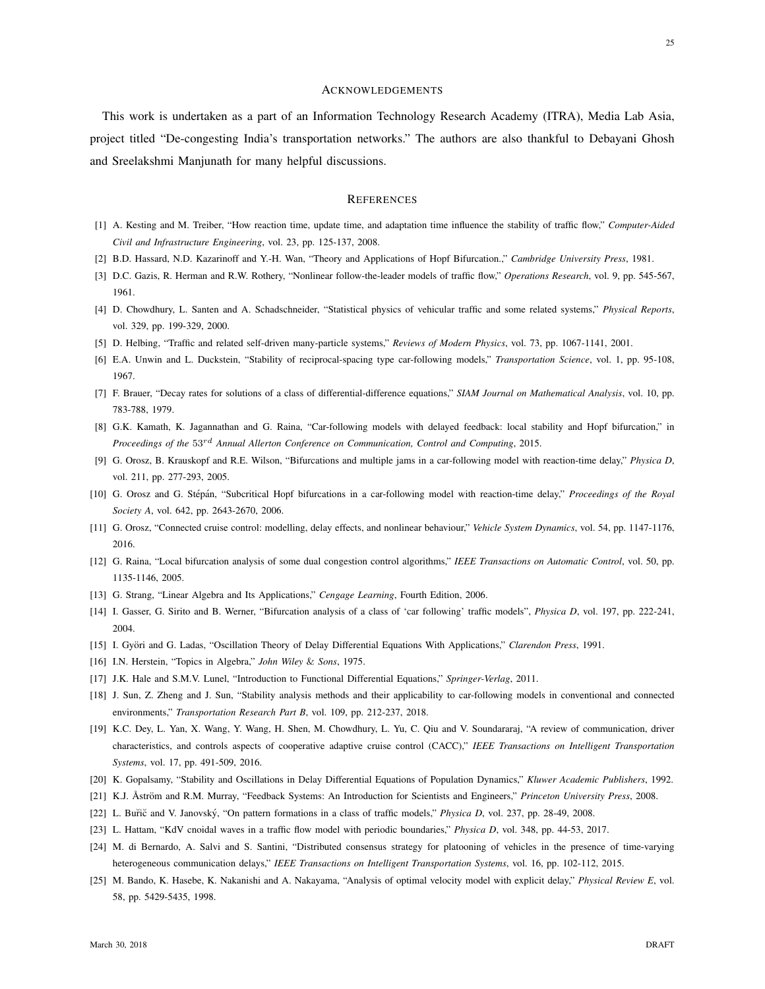#### ACKNOWLEDGEMENTS

This work is undertaken as a part of an Information Technology Research Academy (ITRA), Media Lab Asia, project titled "De-congesting India's transportation networks." The authors are also thankful to Debayani Ghosh and Sreelakshmi Manjunath for many helpful discussions.

## **REFERENCES**

- <span id="page-24-6"></span>[1] A. Kesting and M. Treiber, "How reaction time, update time, and adaptation time influence the stability of traffic flow," *Computer-Aided Civil and Infrastructure Engineering*, vol. 23, pp. 125-137, 2008.
- <span id="page-24-21"></span>[2] B.D. Hassard, N.D. Kazarinoff and Y.-H. Wan, "Theory and Applications of Hopf Bifurcation.," *Cambridge University Press*, 1981.
- <span id="page-24-0"></span>[3] D.C. Gazis, R. Herman and R.W. Rothery, "Nonlinear follow-the-leader models of traffic flow," *Operations Research*, vol. 9, pp. 545-567, 1961.
- <span id="page-24-7"></span>[4] D. Chowdhury, L. Santen and A. Schadschneider, "Statistical physics of vehicular traffic and some related systems," *Physical Reports*, vol. 329, pp. 199-329, 2000.
- <span id="page-24-1"></span>[5] D. Helbing, "Traffic and related self-driven many-particle systems," *Reviews of Modern Physics*, vol. 73, pp. 1067-1141, 2001.
- <span id="page-24-8"></span>[6] E.A. Unwin and L. Duckstein, "Stability of reciprocal-spacing type car-following models," *Transportation Science*, vol. 1, pp. 95-108, 1967.
- <span id="page-24-24"></span>[7] F. Brauer, "Decay rates for solutions of a class of differential-difference equations," *SIAM Journal on Mathematical Analysis*, vol. 10, pp. 783-788, 1979.
- <span id="page-24-2"></span>[8] G.K. Kamath, K. Jagannathan and G. Raina, "Car-following models with delayed feedback: local stability and Hopf bifurcation," in *Proceedings of the* 53rd *Annual Allerton Conference on Communication, Control and Computing*, 2015.
- <span id="page-24-10"></span>[9] G. Orosz, B. Krauskopf and R.E. Wilson, "Bifurcations and multiple jams in a car-following model with reaction-time delay," *Physica D*, vol. 211, pp. 277-293, 2005.
- <span id="page-24-3"></span>[10] G. Orosz and G. Stépán, "Subcritical Hopf bifurcations in a car-following model with reaction-time delay," Proceedings of the Royal *Society A*, vol. 642, pp. 2643-2670, 2006.
- <span id="page-24-15"></span>[11] G. Orosz, "Connected cruise control: modelling, delay effects, and nonlinear behaviour," *Vehicle System Dynamics*, vol. 54, pp. 1147-1176, 2016.
- <span id="page-24-22"></span>[12] G. Raina, "Local bifurcation analysis of some dual congestion control algorithms," *IEEE Transactions on Automatic Control*, vol. 50, pp. 1135-1146, 2005.
- <span id="page-24-20"></span>[13] G. Strang, "Linear Algebra and Its Applications," *Cengage Learning*, Fourth Edition, 2006.
- <span id="page-24-11"></span>[14] I. Gasser, G. Sirito and B. Werner, "Bifurcation analysis of a class of 'car following' traffic models", *Physica D*, vol. 197, pp. 222-241, 2004.
- <span id="page-24-18"></span>[15] I. Györi and G. Ladas, "Oscillation Theory of Delay Differential Equations With Applications," *Clarendon Press*, 1991.
- <span id="page-24-19"></span>[16] I.N. Herstein, "Topics in Algebra," *John Wiley* & *Sons*, 1975.
- <span id="page-24-5"></span>[17] J.K. Hale and S.M.V. Lunel, "Introduction to Functional Differential Equations," *Springer-Verlag*, 2011.
- <span id="page-24-9"></span>[18] J. Sun, Z. Zheng and J. Sun, "Stability analysis methods and their applicability to car-following models in conventional and connected environments," *Transportation Research Part B*, vol. 109, pp. 212-237, 2018.
- <span id="page-24-14"></span>[19] K.C. Dey, L. Yan, X. Wang, Y. Wang, H. Shen, M. Chowdhury, L. Yu, C. Qiu and V. Soundararaj, "A review of communication, driver characteristics, and controls aspects of cooperative adaptive cruise control (CACC)," *IEEE Transactions on Intelligent Transportation Systems*, vol. 17, pp. 491-509, 2016.
- <span id="page-24-23"></span>[20] K. Gopalsamy, "Stability and Oscillations in Delay Differential Equations of Population Dynamics," *Kluwer Academic Publishers*, 1992.
- <span id="page-24-17"></span>[21] K.J. Åström and R.M. Murray, "Feedback Systems: An Introduction for Scientists and Engineers," Princeton University Press, 2008.
- <span id="page-24-12"></span>[22] L. Buřič and V. Janovský, "On pattern formations in a class of traffic models," *Physica D*, vol. 237, pp. 28-49, 2008.
- <span id="page-24-13"></span>[23] L. Hattam, "KdV cnoidal waves in a traffic flow model with periodic boundaries," *Physica D*, vol. 348, pp. 44-53, 2017.
- <span id="page-24-16"></span>[24] M. di Bernardo, A. Salvi and S. Santini, "Distributed consensus strategy for platooning of vehicles in the presence of time-varying heterogeneous communication delays," *IEEE Transactions on Intelligent Transportation Systems*, vol. 16, pp. 102-112, 2015.
- <span id="page-24-4"></span>[25] M. Bando, K. Hasebe, K. Nakanishi and A. Nakayama, "Analysis of optimal velocity model with explicit delay," *Physical Review E*, vol. 58, pp. 5429-5435, 1998.